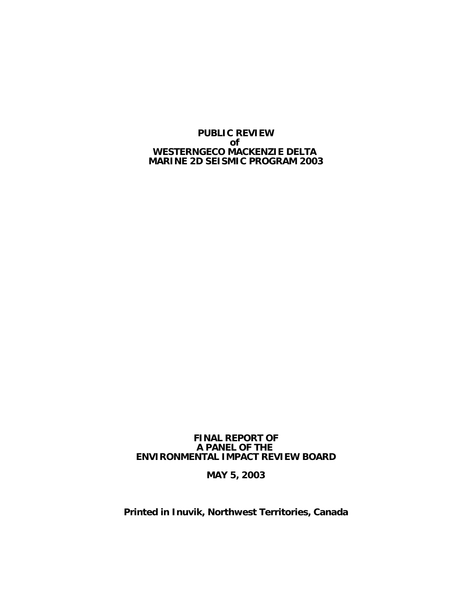**PUBLIC REVIEW of WESTERNGECO MACKENZIE DELTA MARINE 2D SEISMIC PROGRAM 2003**

#### **FINAL REPORT OF A PANEL OF THE ENVIRONMENTAL IMPACT REVIEW BOARD**

**MAY 5, 2003**

**Printed in Inuvik, Northwest Territories, Canada**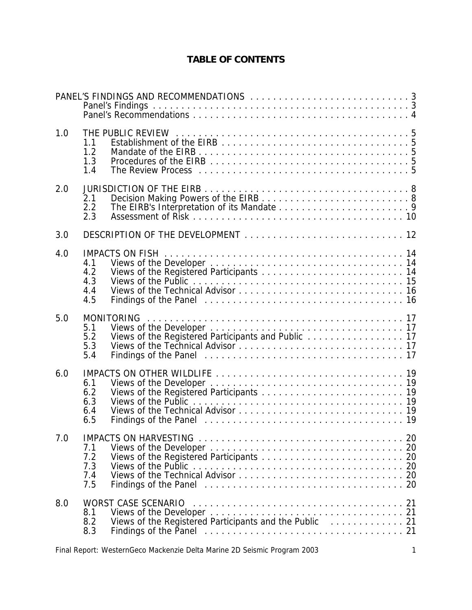# **TABLE OF CONTENTS**

| 1.0 | 1.1<br>1.2<br>1.3<br>1.4        |                                                                                                                                                                           |  |
|-----|---------------------------------|---------------------------------------------------------------------------------------------------------------------------------------------------------------------------|--|
| 2.0 | 2.1<br>2.2<br>2.3               |                                                                                                                                                                           |  |
| 3.0 |                                 |                                                                                                                                                                           |  |
| 4.0 | 4.1<br>4.2<br>4.3<br>4.4<br>4.5 |                                                                                                                                                                           |  |
| 5.0 | 5.1<br>5.2<br>5.3<br>5.4        | <b>MONITORING</b><br>Views of the Registered Participants and Public 17                                                                                                   |  |
| 6.0 | 6.1<br>6.2<br>6.3<br>6.4<br>6.5 |                                                                                                                                                                           |  |
| 7.0 | 7.1<br>7.2<br>7.3<br>7.4<br>7.5 |                                                                                                                                                                           |  |
| 8.0 | 8.1<br>8.2<br>8.3               | Views of the Registered Participants and the Public 21<br>Findings of the Panel contained and contained a series of the Panel contained a series and contained a series o |  |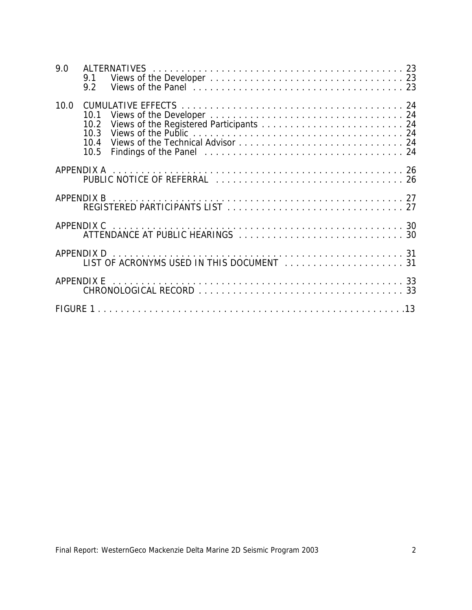| 9.0  | 9.1<br>9.2                           |                                                                                                |  |
|------|--------------------------------------|------------------------------------------------------------------------------------------------|--|
| 10.0 | 10.1<br>10.2<br>10.3<br>10.4<br>10.5 |                                                                                                |  |
|      |                                      |                                                                                                |  |
|      |                                      |                                                                                                |  |
|      | APPENDIX C                           |                                                                                                |  |
|      |                                      | APPENDIX D<br>LIST OF ACRONYMS USED IN THIS DOCUMENT<br>LIST OF ACRONYMS USED IN THIS DOCUMENT |  |
|      |                                      |                                                                                                |  |
|      |                                      |                                                                                                |  |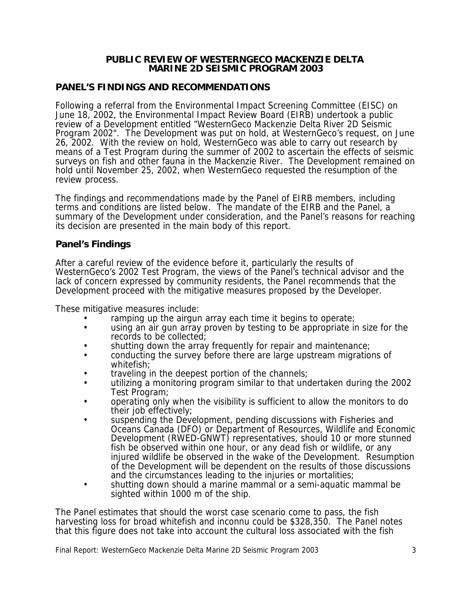#### **PUBLIC REVIEW OF WESTERNGECO MACKENZIE DELTA MARINE 2D SEISMIC PROGRAM 2003**

#### **PANEL'S FINDINGS AND RECOMMENDATIONS**

Following a referral from the Environmental Impact Screening Committee (EISC) on June 18, 2002, the Environmental Impact Review Board (EIRB) undertook a public review of a Development entitled "WesternGeco Mackenzie Delta River 2D Seismic Program 2002". The Development was put on hold, at WesternGeco's request, on June 26, 2002. With the review on hold, WesternGeco was able to carry out research by means of a Test Program during the summer of 2002 to ascertain the effects of seismic surveys on fish and other fauna in the Mackenzie River. The Development remained on hold until November 25, 2002, when WesternGeco requested the resumption of the review process.

The findings and recommendations made by the Panel of EIRB members, including terms and conditions are listed below. The mandate of the EIRB and the Panel, a summary of the Development under consideration, and the Panel's reasons for reaching its decision are presented in the main body of this report.

#### **Panel's Findings**

After a careful review of the evidence before it, particularly the results of WesternGeco's 2002 Test Program, the views of the Panel's technical advisor and the lack of concern expressed by community residents, the Panel recommends that the Development proceed with the mitigative measures proposed by the Developer.

These mitigative measures include:

- ramping up the airgun array each time it begins to operate;
- using an air gun array proven by testing to be appropriate in size for the records to be collected;
- shutting down the array frequently for repair and maintenance;
- conducting the survey before there are large upstream migrations of whitefish;
- traveling in the deepest portion of the channels:
- utilizing a monitoring program similar to that undertaken during the 2002 Test Program;
- operating only when the visibility is sufficient to allow the monitors to do their job effectively;
- suspending the Development, pending discussions with Fisheries and Oceans Canada (DFO) or Department of Resources, Wildlife and Economic Development (RWED-GNWT) representatives, should 10 or more stunned fish be observed within one hour, or any dead fish or wildlife, or any injured wildlife be observed in the wake of the Development. Resumption of the Development will be dependent on the results of those discussions and the circumstances leading to the injuries or mortalities;
- shutting down should a marine mammal or a semi-aquatic mammal be sighted within 1000 m of the ship.

The Panel estimates that should the worst case scenario come to pass, the fish harvesting loss for broad whitefish and inconnu could be \$328,350. The Panel notes that this figure does not take into account the cultural loss associated with the fish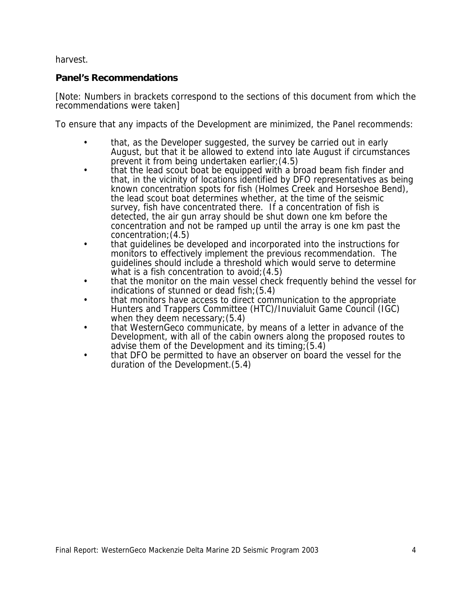harvest.

## **Panel's Recommendations**

[Note: Numbers in brackets correspond to the sections of this document from which the recommendations were taken]

To ensure that any impacts of the Development are minimized, the Panel recommends:

- that, as the Developer suggested, the survey be carried out in early August, but that it be allowed to extend into late August if circumstances prevent it from being undertaken earlier;(4.5)
- that the lead scout boat be equipped with a broad beam fish finder and that, in the vicinity of locations identified by DFO representatives as being known concentration spots for fish (Holmes Creek and Horseshoe Bend). the lead scout boat determines whether, at the time of the seismic survey, fish have concentrated there. If a concentration of fish is detected, the air gun array should be shut down one km before the concentration and not be ramped up until the array is one km past the concentration;(4.5)
- that guidelines be developed and incorporated into the instructions for monitors to effectively implement the previous recommendation. The guidelines should include a threshold which would serve to determine what is a fish concentration to avoid;  $(4.5)$
- that the monitor on the main vessel check frequently behind the vessel for indications of stunned or dead fish;(5.4)
- that monitors have access to direct communication to the appropriate Hunters and Trappers Committee (HTC)/Inuvialuit Game Council (IGC) when they deem necessary;(5.4)
- that WesternGeco communicate, by means of a letter in advance of the Development, with all of the cabin owners along the proposed routes to advise them of the Development and its timing;  $(5.4)$
- that DFO be permitted to have an observer on board the vessel for the duration of the Development.(5.4)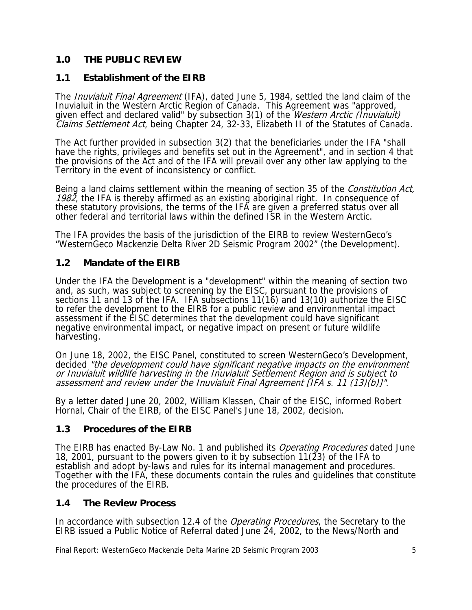## **1.0 THE PUBLIC REVIEW**

## **1.1 Establishment of the EIRB**

The *Inuvialuit Final Agreement* (IFA), dated June 5, 1984, settled the land claim of the Inuvialuit in the Western Arctic Region of Canada. This Agreement was "approved, given effect and declared valid" by subsection 3(1) of the *Western Arctic (Inuvialuit)* Claims Settlement Act, being Chapter 24, 32-33, Elizabeth II of the Statutes of Canada.

The Act further provided in subsection 3(2) that the beneficiaries under the IFA "shall have the rights, privileges and benefits set out in the Agreement", and in section 4 that the provisions of the Act and of the IFA will prevail over any other law applying to the Territory in the event of inconsistency or conflict.

Being a land claims settlement within the meaning of section 35 of the *Constitution Act*, 1982, the IFA is thereby affirmed as an existing aboriginal right. In consequence of these statutory provisions, the terms of the IFA are given a preferred status over all other federal and territorial laws within the defined ISR in the Western Arctic.

The IFA provides the basis of the jurisdiction of the EIRB to review WesternGeco's "WesternGeco Mackenzie Delta River 2D Seismic Program 2002" (the Development).

### **1.2 Mandate of the EIRB**

Under the IFA the Development is a "development" within the meaning of section two and, as such, was subject to screening by the EISC, pursuant to the provisions of sections 11 and 13 of the IFA. IFA subsections 11(16) and 13(10) authorize the EISC to refer the development to the EIRB for a public review and environmental impact assessment if the EISC determines that the development could have significant negative environmental impact, or negative impact on present or future wildlife harvesting.

On June 18, 2002, the EISC Panel, constituted to screen WesternGeco's Development, decided "the development could have significant negative impacts on the environment or Inuvialuit wildlife harvesting in the Inuvialuit Settlement Region and is subject to assessment and review under the Inuvialuit Final Agreement [IFA s. 11 (13)(b)]".

By a letter dated June 20, 2002, William Klassen, Chair of the EISC, informed Robert Hornal, Chair of the EIRB, of the EISC Panel's June 18, 2002, decision.

### **1.3 Procedures of the EIRB**

The EIRB has enacted By-Law No. 1 and published its *Operating Procedures* dated June 18, 2001, pursuant to the powers given to it by subsection 11( $\tilde{2}3$ ) of the IFA to establish and adopt by-laws and rules for its internal management and procedures. Together with the IFA, these documents contain the rules and guidelines that constitute the procedures of the EIRB.

### **1.4 The Review Process**

In accordance with subsection 12.4 of the *Operating Procedures*, the Secretary to the EIRB issued a Public Notice of Referral dated June 24, 2002, to the News/North and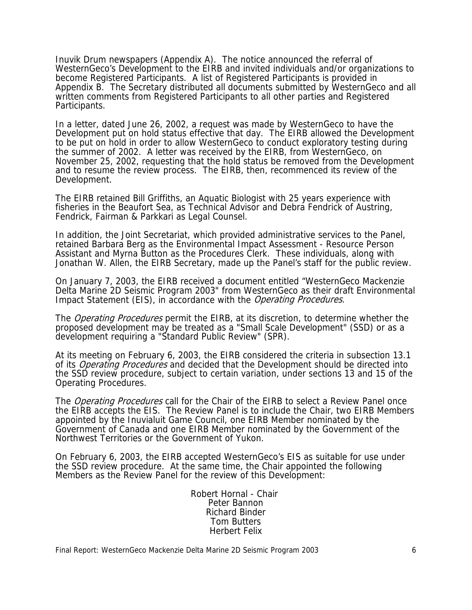Inuvik Drum newspapers (Appendix A). The notice announced the referral of WesternGeco's Development to the EIRB and invited individuals and/or organizations to become Registered Participants. A list of Registered Participants is provided in Appendix B. The Secretary distributed all documents submitted by WesternGeco and all written comments from Registered Participants to all other parties and Registered Participants.

In a letter, dated June 26, 2002, a request was made by WesternGeco to have the Development put on hold status effective that day. The EIRB allowed the Development to be put on hold in order to allow WesternGeco to conduct exploratory testing during the summer of 2002. A letter was received by the EIRB, from WesternGeco, on November 25, 2002, requesting that the hold status be removed from the Development and to resume the review process. The EIRB, then, recommenced its review of the Development.

The EIRB retained Bill Griffiths, an Aquatic Biologist with 25 years experience with fisheries in the Beaufort Sea, as Technical Advisor and Debra Fendrick of Austring, Fendrick, Fairman & Parkkari as Legal Counsel.

In addition, the Joint Secretariat, which provided administrative services to the Panel, retained Barbara Berg as the Environmental Impact Assessment - Resource Person Assistant and Myrna Button as the Procedures Clerk. These individuals, along with Jonathan W. Allen, the EIRB Secretary, made up the Panel's staff for the public review.

On January 7, 2003, the EIRB received a document entitled "WesternGeco Mackenzie Delta Marine 2D Seismic Program 2003" from WesternGeco as their draft Environmental Impact Statement (EIS), in accordance with the *Operating Procedures*.

The *Operating Procedures* permit the EIRB, at its discretion, to determine whether the proposed development may be treated as a "Small Scale Development" (SSD) or as a development requiring a "Standard Public Review" (SPR).

At its meeting on February 6, 2003, the EIRB considered the criteria in subsection 13.1 of its *Operating Procedures* and decided that the Development should be directed into the SSD review procedure, subject to certain variation, under sections 13 and 15 of the Operating Procedures.

The *Operating Procedures* call for the Chair of the EIRB to select a Review Panel once the EIRB accepts the EIS. The Review Panel is to include the Chair, two EIRB Members appointed by the Inuvialuit Game Council, one EIRB Member nominated by the Government of Canada and one EIRB Member nominated by the Government of the Northwest Territories or the Government of Yukon.

On February 6, 2003, the EIRB accepted WesternGeco's EIS as suitable for use under the SSD review procedure. At the same time, the Chair appointed the following Members as the Review Panel for the review of this Development:

> Robert Hornal - Chair Peter Bannon Richard Binder Tom Butters Herbert Felix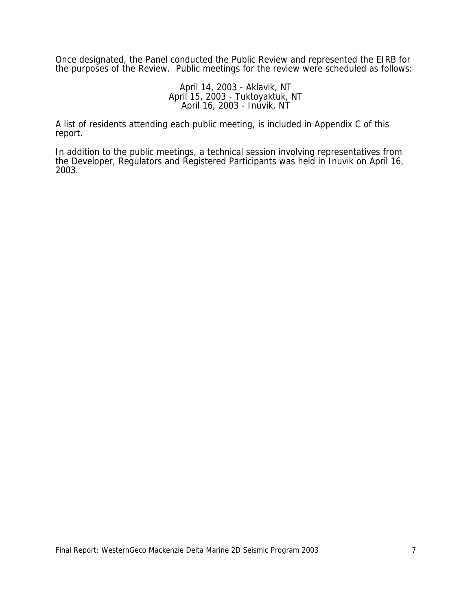Once designated, the Panel conducted the Public Review and represented the EIRB for the purposes of the Review. Public meetings for the review were scheduled as follows:

> April 14, 2003 - Aklavik, NT April 15, 2003 - Tuktoyaktuk, NT April 16, 2003 - Inuvik, NT

A list of residents attending each public meeting, is included in Appendix C of this report.

In addition to the public meetings, a technical session involving representatives from the Developer, Regulators and Registered Participants was held in Inuvik on April 16, 2003.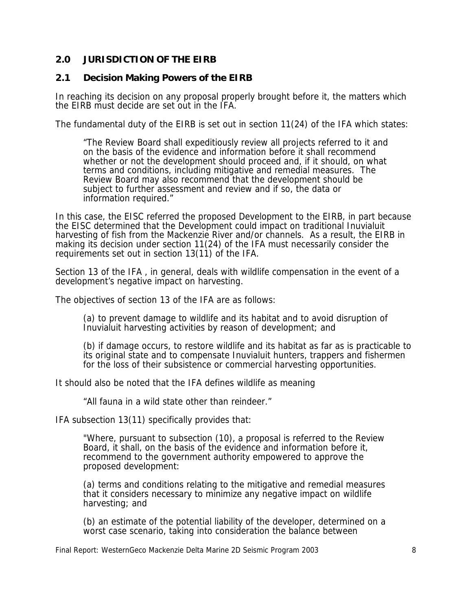## **2.0 JURISDICTION OF THE EIRB**

### **2.1 Decision Making Powers of the EIRB**

In reaching its decision on any proposal properly brought before it, the matters which the EIRB must decide are set out in the IFA.

The fundamental duty of the EIRB is set out in section 11(24) of the IFA which states:

"The Review Board shall expeditiously review all projects referred to it and on the basis of the evidence and information before it shall recommend whether or not the development should proceed and, if it should, on what terms and conditions, including mitigative and remedial measures. The Review Board may also recommend that the development should be subject to further assessment and review and if so, the data or information required."

In this case, the EISC referred the proposed Development to the EIRB, in part because the EISC determined that the Development could impact on traditional Inuvialuit harvesting of fish from the Mackenzie River and/or channels. As a result, the EIRB in making its decision under section 11(24) of the IFA must necessarily consider the requirements set out in section 13(11) of the IFA.

Section 13 of the IFA , in general, deals with wildlife compensation in the event of a development's negative impact on harvesting.

The objectives of section 13 of the IFA are as follows:

(a) to prevent damage to wildlife and its habitat and to avoid disruption of Inuvialuit harvesting activities by reason of development; and

(b) if damage occurs, to restore wildlife and its habitat as far as is practicable to its original state and to compensate Inuvialuit hunters, trappers and fishermen for the loss of their subsistence or commercial harvesting opportunities.

It should also be noted that the IFA defines wildlife as meaning

"All fauna in a wild state other than reindeer."

IFA subsection 13(11) specifically provides that:

"Where, pursuant to subsection (10), a proposal is referred to the Review Board, it shall, on the basis of the evidence and information before it, recommend to the government authority empowered to approve the proposed development:

(a) terms and conditions relating to the mitigative and remedial measures that it considers necessary to minimize any negative impact on wildlife harvesting; and

(b) an estimate of the potential liability of the developer, determined on a worst case scenario, taking into consideration the balance between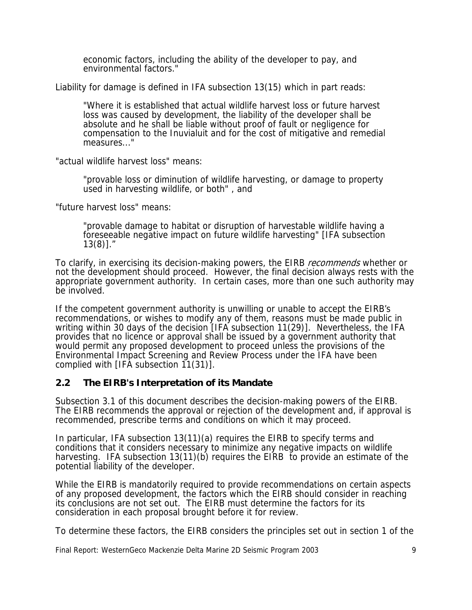economic factors, including the ability of the developer to pay, and environmental factors."

Liability for damage is defined in IFA subsection 13(15) which in part reads:

"Where it is established that actual wildlife harvest loss or future harvest loss was caused by development, the liability of the developer shall be absolute and he shall be liable without proof of fault or negligence for compensation to the Inuvialuit and for the cost of mitigative and remedial measures..."

"actual wildlife harvest loss" means:

"provable loss or diminution of wildlife harvesting, or damage to property used in harvesting wildlife, or both" , and

"future harvest loss" means:

"provable damage to habitat or disruption of harvestable wildlife having a foreseeable negative impact on future wildlife harvesting" [IFA subsection 13(8)]."

To clarify, in exercising its decision-making powers, the EIRB *recommends* whether or not the development should proceed. However, the final decision always rests with the appropriate government authority. In certain cases, more than one such authority may be involved.

If the competent government authority is unwilling or unable to accept the EIRB's recommendations, or wishes to modify any of them, reasons must be made public in writing within 30 days of the decision [IFA subsection 11(29)]. Nevertheless, the IFA provides that no licence or approval shall be issued by a government authority that would permit any proposed development to proceed unless the provisions of the Environmental Impact Screening and Review Process under the IFA have been complied with [IFA subsection 11(31)].

### **2.2 The EIRB's Interpretation of its Mandate**

Subsection 3.1 of this document describes the decision-making powers of the EIRB. The EIRB recommends the approval or rejection of the development and, if approval is recommended, prescribe terms and conditions on which it may proceed.

In particular, IFA subsection 13(11)(a) requires the EIRB to specify terms and conditions that it considers necessary to minimize any negative impacts on wildlife harvesting. IFA subsection 13(11)(b) requires the EIRB to provide an estimate of the potential liability of the developer.

While the EIRB is mandatorily required to provide recommendations on certain aspects of any proposed development, the factors which the EIRB should consider in reaching its conclusions are not set out. The EIRB must determine the factors for its consideration in each proposal brought before it for review.

To determine these factors, the EIRB considers the principles set out in section 1 of the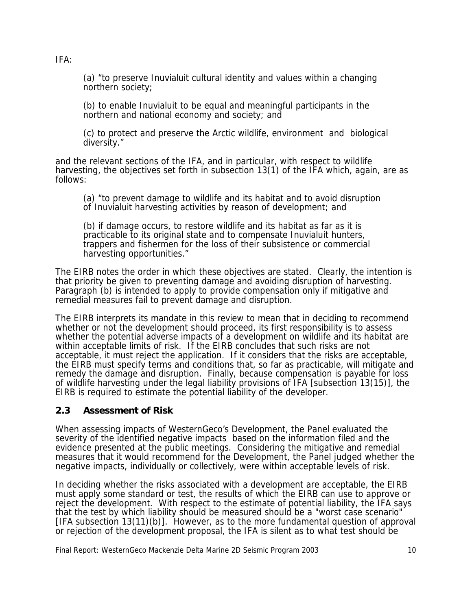(a) "to preserve Inuvialuit cultural identity and values within a changing northern society;

(b) to enable Inuvialuit to be equal and meaningful participants in the northern and national economy and society; and

(c) to protect and preserve the Arctic wildlife, environment and biological diversity."

and the relevant sections of the IFA, and in particular, with respect to wildlife harvesting, the objectives set forth in subsection 13(1) of the IFA which, again, are as follows:

(a) "to prevent damage to wildlife and its habitat and to avoid disruption of Inuvialuit harvesting activities by reason of development; and

(b) if damage occurs, to restore wildlife and its habitat as far as it is practicable to its original state and to compensate Inuvialuit hunters, trappers and fishermen for the loss of their subsistence or commercial harvesting opportunities."

The EIRB notes the order in which these objectives are stated. Clearly, the intention is that priority be given to preventing damage and avoiding disruption of harvesting. Paragraph (b) is intended to apply to provide compensation only if mitigative and remedial measures fail to prevent damage and disruption.

The EIRB interprets its mandate in this review to mean that in deciding to recommend whether or not the development should proceed, its first responsibility is to assess whether the potential adverse impacts of a development on wildlife and its habitat are within acceptable limits of risk. If the EIRB concludes that such risks are not acceptable, it must reject the application. If it considers that the risks are acceptable, the EIRB must specify terms and conditions that, so far as practicable, will mitigate and remedy the damage and disruption. Finally, because compensation is payable for loss of wildlife harvesting under the legal liability provisions of IFA [subsection 13(15)], the EIRB is required to estimate the potential liability of the developer.

### **2.3 Assessment of Risk**

When assessing impacts of WesternGeco's Development, the Panel evaluated the severity of the identified negative impacts based on the information filed and the evidence presented at the public meetings. Considering the mitigative and remedial measures that it would recommend for the Development, the Panel judged whether the negative impacts, individually or collectively, were within acceptable levels of risk.

In deciding whether the risks associated with a development are acceptable, the EIRB must apply some standard or test, the results of which the EIRB can use to approve or reject the development. With respect to the estimate of potential liability, the IFA says that the test by which liability should be measured should be a "worst case scenario" [IFA subsection 13(11)(b)]. However, as to the more fundamental question of approval or rejection of the development proposal, the IFA is silent as to what test should be

Final Report: WesternGeco Mackenzie Delta Marine 2D Seismic Program 2003 10

IFA: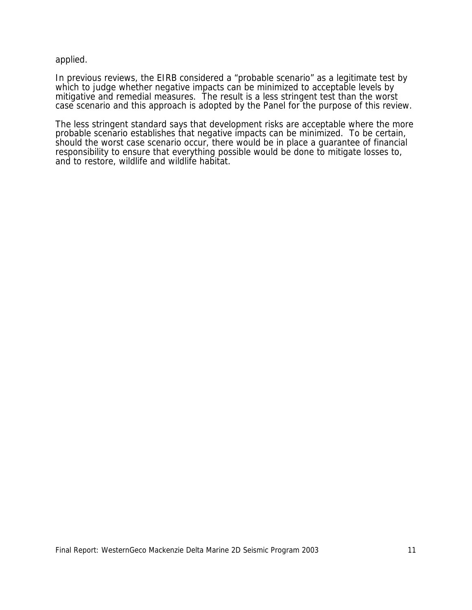applied.

In previous reviews, the EIRB considered a "probable scenario" as a legitimate test by which to judge whether negative impacts can be minimized to acceptable levels by mitigative and remedial measures. The result is a less stringent test than the worst case scenario and this approach is adopted by the Panel for the purpose of this review.

The less stringent standard says that development risks are acceptable where the more probable scenario establishes that negative impacts can be minimized. To be certain, should the worst case scenario occur, there would be in place a guarantee of financial responsibility to ensure that everything possible would be done to mitigate losses to, and to restore, wildlife and wildlife habitat.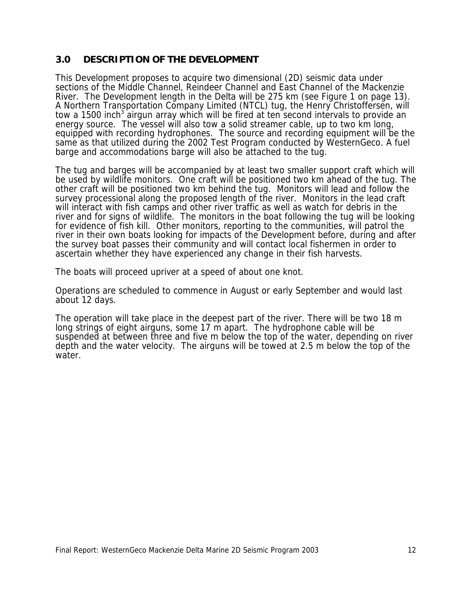## **3.0 DESCRIPTION OF THE DEVELOPMENT**

This Development proposes to acquire two dimensional (2D) seismic data under sections of the Middle Channel, Reindeer Channel and East Channel of the Mackenzie River. The Development length in the Delta will be 275 km (see Figure 1 on page 13). A Northern Transportation Company Limited (NTCL) tug, the Henry Christoffersen, will tow a 1500 inch<sup>3</sup> airgun array which will be fired at ten second intervals to provide an energy source. The vessel will also tow a solid streamer cable, up to two km long, equipped with recording hydrophones. The source and recording equipment will be the same as that utilized during the 2002 Test Program conducted by WesternGeco. A fuel barge and accommodations barge will also be attached to the tug.

The tug and barges will be accompanied by at least two smaller support craft which will be used by wildlife monitors. One craft will be positioned two km ahead of the tug. The other craft will be positioned two km behind the tug. Monitors will lead and follow the survey processional along the proposed length of the river. Monitors in the lead craft will interact with fish camps and other river traffic as well as watch for debris in the river and for signs of wildlife. The monitors in the boat following the tug will be looking for evidence of fish kill. Other monitors, reporting to the communities, will patrol the river in their own boats looking for impacts of the Development before, during and after the survey boat passes their community and will contact local fishermen in order to ascertain whether they have experienced any change in their fish harvests.

The boats will proceed upriver at a speed of about one knot.

Operations are scheduled to commence in August or early September and would last about 12 days.

The operation will take place in the deepest part of the river. There will be two 18 m long strings of eight airguns, some 17 m apart. The hydrophone cable will be suspended at between three and five m below the top of the water, depending on river depth and the water velocity. The airguns will be towed at 2.5 m below the top of the water.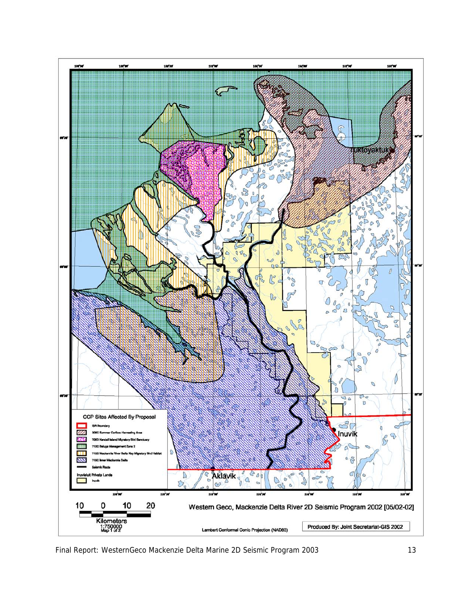

Final Report: WesternGeco Mackenzie Delta Marine 2D Seismic Program 2003 13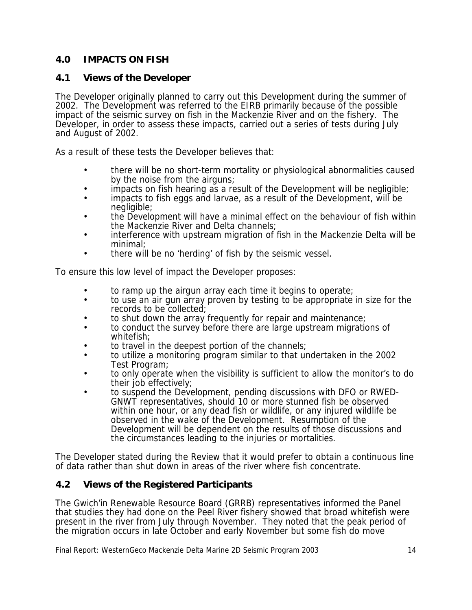## **4.0 IMPACTS ON FISH**

## **4.1 Views of the Developer**

The Developer originally planned to carry out this Development during the summer of 2002. The Development was referred to the EIRB primarily because of the possible impact of the seismic survey on fish in the Mackenzie River and on the fishery. The Developer, in order to assess these impacts, carried out a series of tests during July and August of 2002.

As a result of these tests the Developer believes that:

- there will be no short-term mortality or physiological abnormalities caused by the noise from the airguns;
- impacts on fish hearing as a result of the Development will be negligible;
- impacts to fish eggs and larvae, as a result of the Development, will be negligible;
- the Development will have a minimal effect on the behaviour of fish within the Mackenzie River and Delta channels;
- interference with upstream migration of fish in the Mackenzie Delta will be minimal;
- there will be no 'herding' of fish by the seismic vessel.

To ensure this low level of impact the Developer proposes:

- to ramp up the airgun array each time it begins to operate;
- to use an air gun array proven by testing to be appropriate in size for the records to be collected;
- to shut down the array frequently for repair and maintenance;
- to conduct the survey before there are large upstream migrations of whitefish;
- to travel in the deepest portion of the channels;
- to utilize a monitoring program similar to that undertaken in the 2002 Test Program;
- to only operate when the visibility is sufficient to allow the monitor's to do their job effectively;
- to suspend the Development, pending discussions with DFO or RWED-GNWT representatives, should 10 or more stunned fish be observed within one hour, or any dead fish or wildlife, or any injured wildlife be observed in the wake of the Development. Resumption of the Development will be dependent on the results of those discussions and the circumstances leading to the injuries or mortalities.

The Developer stated during the Review that it would prefer to obtain a continuous line of data rather than shut down in areas of the river where fish concentrate.

## **4.2 Views of the Registered Participants**

The Gwich'in Renewable Resource Board (GRRB) representatives informed the Panel that studies they had done on the Peel River fishery showed that broad whitefish were present in the river from July through November. They noted that the peak period of the migration occurs in late October and early November but some fish do move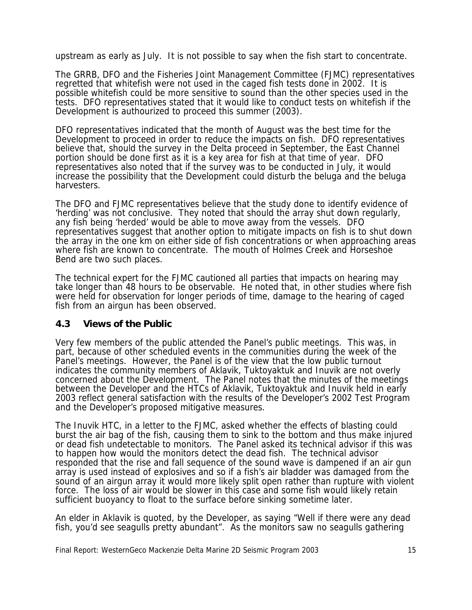upstream as early as July. It is not possible to say when the fish start to concentrate.

The GRRB, DFO and the Fisheries Joint Management Committee (FJMC) representatives regretted that whitefish were not used in the caged fish tests done in 2002. It is possible whitefish could be more sensitive to sound than the other species used in the tests. DFO representatives stated that it would like to conduct tests on whitefish if the Development is authourized to proceed this summer (2003).

DFO representatives indicated that the month of August was the best time for the Development to proceed in order to reduce the impacts on fish. DFO representatives believe that, should the survey in the Delta proceed in September, the East Channel portion should be done first as it is a key area for fish at that time of year. DFO representatives also noted that if the survey was to be conducted in July, it would increase the possibility that the Development could disturb the beluga and the beluga harvesters.

The DFO and FJMC representatives believe that the study done to identify evidence of 'herding' was not conclusive. They noted that should the array shut down regularly, any fish being 'herded' would be able to move away from the vessels. DFO representatives suggest that another option to mitigate impacts on fish is to shut down the array in the one km on either side of fish concentrations or when approaching areas where fish are known to concentrate. The mouth of Holmes Creek and Horseshoe Bend are two such places.

The technical expert for the FJMC cautioned all parties that impacts on hearing may take longer than 48 hours to be observable. He noted that, in other studies where fish were held for observation for longer periods of time, damage to the hearing of caged fish from an airgun has been observed.

#### **4.3 Views of the Public**

Very few members of the public attended the Panel's public meetings. This was, in part, because of other scheduled events in the communities during the week of the Panel's meetings. However, the Panel is of the view that the low public turnout indicates the community members of Aklavik, Tuktoyaktuk and Inuvik are not overly concerned about the Development. The Panel notes that the minutes of the meetings between the Developer and the HTCs of Aklavik, Tuktoyaktuk and Inuvik held in early 2003 reflect general satisfaction with the results of the Developer's 2002 Test Program and the Developer's proposed mitigative measures.

The Inuvik HTC, in a letter to the FJMC, asked whether the effects of blasting could burst the air bag of the fish, causing them to sink to the bottom and thus make injured or dead fish undetectable to monitors. The Panel asked its technical advisor if this was to happen how would the monitors detect the dead fish. The technical advisor responded that the rise and fall sequence of the sound wave is dampened if an air gun array is used instead of explosives and so if a fish's air bladder was damaged from the sound of an airgun array it would more likely split open rather than rupture with violent force. The loss of air would be slower in this case and some fish would likely retain sufficient buoyancy to float to the surface before sinking sometime later.

An elder in Aklavik is quoted, by the Developer, as saying "Well if there were any dead fish, you'd see seagulls pretty abundant". As the monitors saw no seagulls gathering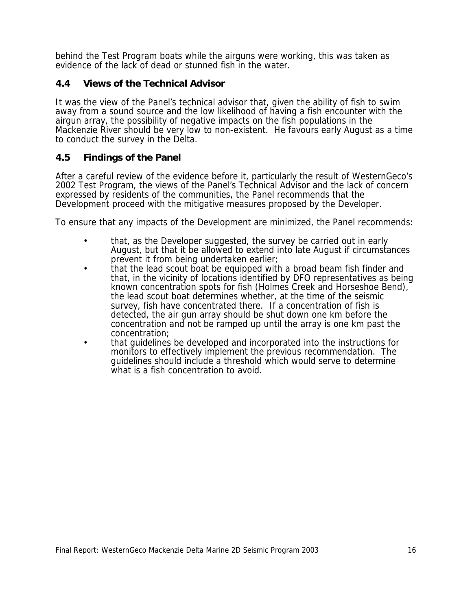behind the Test Program boats while the airguns were working, this was taken as evidence of the lack of dead or stunned fish in the water.

#### **4.4 Views of the Technical Advisor**

It was the view of the Panel's technical advisor that, given the ability of fish to swim away from a sound source and the low likelihood of having a fish encounter with the airgun array, the possibility of negative impacts on the fish populations in the Mackenzie River should be very low to non-existent. He favours early August as a time to conduct the survey in the Delta.

### **4.5 Findings of the Panel**

After a careful review of the evidence before it, particularly the result of WesternGeco's 2002 Test Program, the views of the Panel's Technical Advisor and the lack of concern expressed by residents of the communities, the Panel recommends that the Development proceed with the mitigative measures proposed by the Developer.

To ensure that any impacts of the Development are minimized, the Panel recommends:

- that, as the Developer suggested, the survey be carried out in early August, but that it be allowed to extend into late August if circumstances prevent it from being undertaken earlier;
- that the lead scout boat be equipped with a broad beam fish finder and that, in the vicinity of locations identified by DFO representatives as being known concentration spots for fish (Holmes Creek and Horseshoe Bend), the lead scout boat determines whether, at the time of the seismic survey, fish have concentrated there. If a concentration of fish is detected, the air gun array should be shut down one km before the concentration and not be ramped up until the array is one km past the concentration;
- that guidelines be developed and incorporated into the instructions for monitors to effectively implement the previous recommendation. The guidelines should include a threshold which would serve to determine what is a fish concentration to avoid.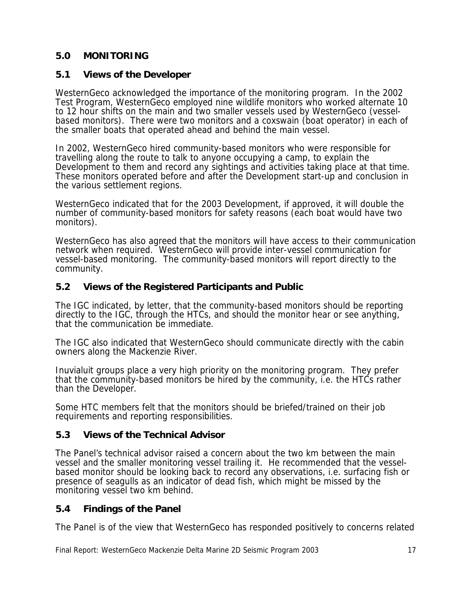## **5.0 MONITORING**

## **5.1 Views of the Developer**

WesternGeco acknowledged the importance of the monitoring program. In the 2002 Test Program, WesternGeco employed nine wildlife monitors who worked alternate 10 to 12 hour shifts on the main and two smaller vessels used by WesternGeco (vesselbased monitors). There were two monitors and a coxswain (boat operator) in each of the smaller boats that operated ahead and behind the main vessel.

In 2002, WesternGeco hired community-based monitors who were responsible for travelling along the route to talk to anyone occupying a camp, to explain the Development to them and record any sightings and activities taking place at that time. These monitors operated before and after the Development start-up and conclusion in the various settlement regions.

WesternGeco indicated that for the 2003 Development, if approved, it will double the number of community-based monitors for safety reasons (each boat would have two monitors).

WesternGeco has also agreed that the monitors will have access to their communication network when required. WesternGeco will provide inter-vessel communication for vessel-based monitoring. The community-based monitors will report directly to the community.

### **5.2 Views of the Registered Participants and Public**

The IGC indicated, by letter, that the community-based monitors should be reporting directly to the IGC, through the HTCs, and should the monitor hear or see anything, that the communication be immediate.

The IGC also indicated that WesternGeco should communicate directly with the cabin owners along the Mackenzie River.

Inuvialuit groups place a very high priority on the monitoring program. They prefer that the community-based monitors be hired by the community, i.e. the HTCs rather than the Developer.

Some HTC members felt that the monitors should be briefed/trained on their job requirements and reporting responsibilities.

### **5.3 Views of the Technical Advisor**

The Panel's technical advisor raised a concern about the two km between the main vessel and the smaller monitoring vessel trailing it. He recommended that the vesselbased monitor should be looking back to record any observations, i.e. surfacing fish or presence of seagulls as an indicator of dead fish, which might be missed by the monitoring vessel two km behind.

## **5.4 Findings of the Panel**

The Panel is of the view that WesternGeco has responded positively to concerns related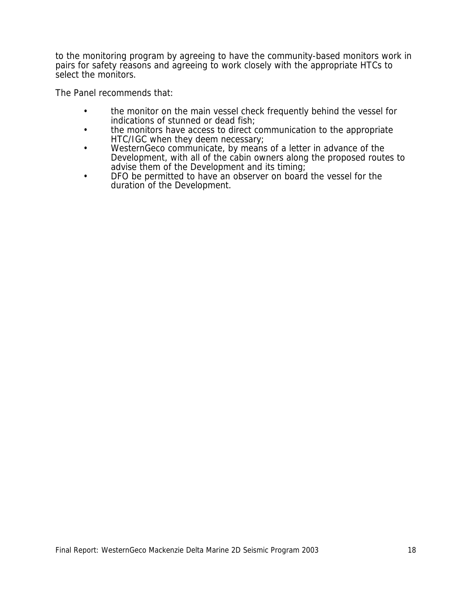to the monitoring program by agreeing to have the community-based monitors work in pairs for safety reasons and agreeing to work closely with the appropriate HTCs to select the monitors.

The Panel recommends that:

- the monitor on the main vessel check frequently behind the vessel for indications of stunned or dead fish;
- the monitors have access to direct communication to the appropriate HTC/IGC when they deem necessary;
- WesternGeco communicate, by means of a letter in advance of the Development, with all of the cabin owners along the proposed routes to advise them of the Development and its timing;
- DFO be permitted to have an observer on board the vessel for the duration of the Development.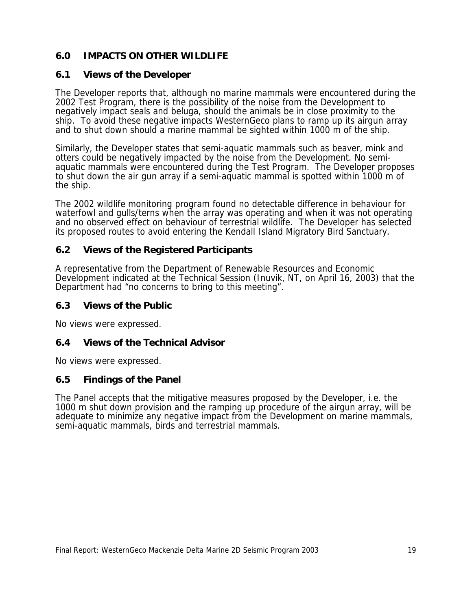## **6.0 IMPACTS ON OTHER WILDLIFE**

## **6.1 Views of the Developer**

The Developer reports that, although no marine mammals were encountered during the 2002 Test Program, there is the possibility of the noise from the Development to negatively impact seals and beluga, should the animals be in close proximity to the ship. To avoid these negative impacts WesternGeco plans to ramp up its airgun array and to shut down should a marine mammal be sighted within 1000 m of the ship.

Similarly, the Developer states that semi-aquatic mammals such as beaver, mink and otters could be negatively impacted by the noise from the Development. No semiaquatic mammals were encountered during the Test Program. The Developer proposes to shut down the air gun array if a semi-aquatic mammal is spotted within 1000 m of the ship.

The 2002 wildlife monitoring program found no detectable difference in behaviour for waterfowl and gulls/terns when the array was operating and when it was not operating and no observed effect on behaviour of terrestrial wildlife. The Developer has selected its proposed routes to avoid entering the Kendall Island Migratory Bird Sanctuary.

## **6.2 Views of the Registered Participants**

A representative from the Department of Renewable Resources and Economic Development indicated at the Technical Session (Inuvik, NT, on April 16, 2003) that the Department had "no concerns to bring to this meeting".

## **6.3 Views of the Public**

No views were expressed.

### **6.4 Views of the Technical Advisor**

No views were expressed.

### **6.5 Findings of the Panel**

The Panel accepts that the mitigative measures proposed by the Developer, i.e. the 1000 m shut down provision and the ramping up procedure of the airgun array, will be adequate to minimize any negative impact from the Development on marine mammals, semi-aquatic mammals, birds and terrestrial mammals.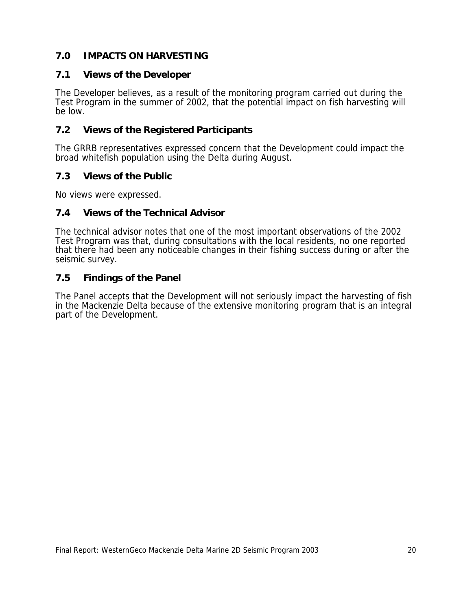## **7.0 IMPACTS ON HARVESTING**

## **7.1 Views of the Developer**

The Developer believes, as a result of the monitoring program carried out during the Test Program in the summer of 2002, that the potential impact on fish harvesting will be low.

## **7.2 Views of the Registered Participants**

The GRRB representatives expressed concern that the Development could impact the broad whitefish population using the Delta during August.

## **7.3 Views of the Public**

No views were expressed.

## **7.4 Views of the Technical Advisor**

The technical advisor notes that one of the most important observations of the 2002 Test Program was that, during consultations with the local residents, no one reported that there had been any noticeable changes in their fishing success during or after the seismic survey.

## **7.5 Findings of the Panel**

The Panel accepts that the Development will not seriously impact the harvesting of fish in the Mackenzie Delta because of the extensive monitoring program that is an integral part of the Development.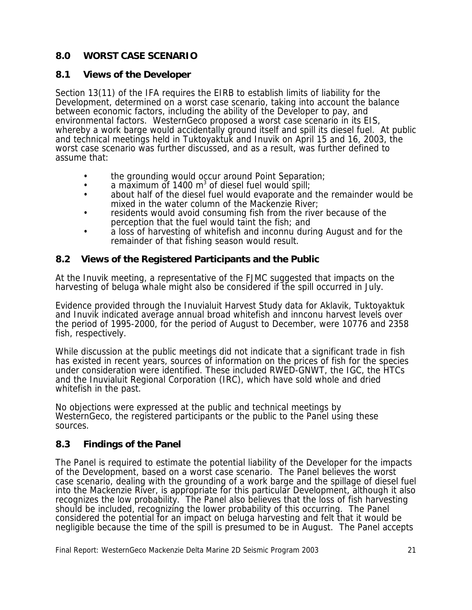## **8.0 WORST CASE SCENARIO**

## **8.1 Views of the Developer**

Section 13(11) of the IFA requires the EIRB to establish limits of liability for the Development, determined on a worst case scenario, taking into account the balance between economic factors, including the ability of the Developer to pay, and environmental factors. WesternGeco proposed a worst case scenario in its EIS, whereby a work barge would accidentally ground itself and spill its diesel fuel. At public and technical meetings held in Tuktoyaktuk and Inuvik on April 15 and 16, 2003, the worst case scenario was further discussed, and as a result, was further defined to assume that:

- the grounding would occur around Point Separation;
- a maximum of 1400  $m<sup>3</sup>$  of diesel fuel would spill;
- about half of the diesel fuel would evaporate and the remainder would be mixed in the water column of the Mackenzie River;
- residents would avoid consuming fish from the river because of the perception that the fuel would taint the fish; and
- a loss of harvesting of whitefish and inconnu during August and for the remainder of that fishing season would result.

## **8.2 Views of the Registered Participants and the Public**

At the Inuvik meeting, a representative of the FJMC suggested that impacts on the harvesting of beluga whale might also be considered if the spill occurred in July.

Evidence provided through the Inuvialuit Harvest Study data for Aklavik, Tuktoyaktuk and Inuvik indicated average annual broad whitefish and innconu harvest levels over the period of 1995-2000, for the period of August to December, were 10776 and 2358 fish, respectively.

While discussion at the public meetings did not indicate that a significant trade in fish has existed in recent years, sources of information on the prices of fish for the species under consideration were identified. These included RWED-GNWT, the IGC, the HTCs and the Inuvialuit Regional Corporation (IRC), which have sold whole and dried whitefish in the past.

No objections were expressed at the public and technical meetings by WesternGeco, the registered participants or the public to the Panel using these sources.

## **8.3 Findings of the Panel**

The Panel is required to estimate the potential liability of the Developer for the impacts of the Development, based on a worst case scenario. The Panel believes the worst case scenario, dealing with the grounding of a work barge and the spillage of diesel fuel into the Mackenzie River, is appropriate for this particular Development, although it also recognizes the low probability. The Panel also believes that the loss of fish harvesting should be included, recognizing the lower probability of this occurring. The Panel considered the potential for an impact on beluga harvesting and felt that it would be negligible because the time of the spill is presumed to be in August. The Panel accepts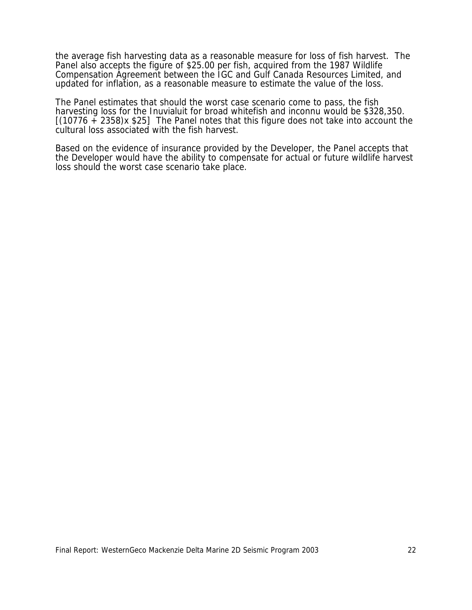the average fish harvesting data as a reasonable measure for loss of fish harvest. The Panel also accepts the figure of \$25.00 per fish, acquired from the 1987 Wildlife Compensation Agreement between the IGC and Gulf Canada Resources Limited, and updated for inflation, as a reasonable measure to estimate the value of the loss.

The Panel estimates that should the worst case scenario come to pass, the fish harvesting loss for the Inuvialuit for broad whitefish and inconnu would be \$328,350.  $[(10776 + 2358)x $25]$  The Panel notes that this figure does not take into account the cultural loss associated with the fish harvest.

Based on the evidence of insurance provided by the Developer, the Panel accepts that the Developer would have the ability to compensate for actual or future wildlife harvest loss should the worst case scenario take place.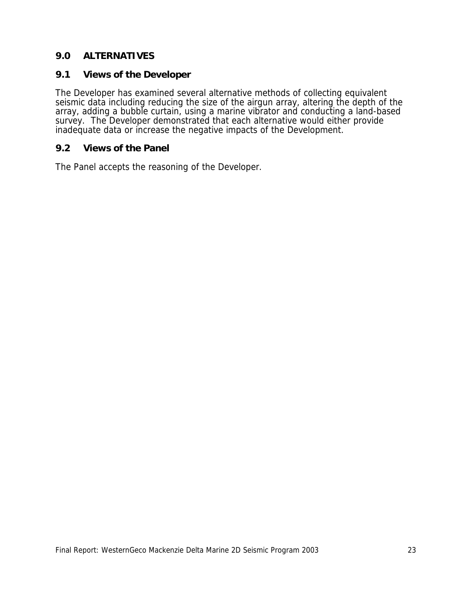## **9.0 ALTERNATIVES**

#### **9.1 Views of the Developer**

The Developer has examined several alternative methods of collecting equivalent seismic data including reducing the size of the airgun array, altering the depth of the array, adding a bubble curtain, using a marine vibrator and conducting a land-based survey. The Developer demonstrated that each alternative would either provide inadequate data or increase the negative impacts of the Development.

#### **9.2 Views of the Panel**

The Panel accepts the reasoning of the Developer.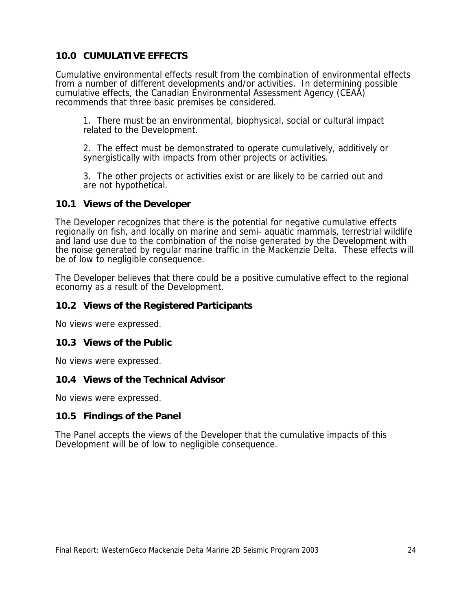## **10.0 CUMULATIVE EFFECTS**

Cumulative environmental effects result from the combination of environmental effects from a number of different developments and/or activities. In determining possible cumulative effects, the Canadian Environmental Assessment Agency (CEAA) recommends that three basic premises be considered.

1. There must be an environmental, biophysical, social or cultural impact related to the Development.

2. The effect must be demonstrated to operate cumulatively, additively or synergistically with impacts from other projects or activities.

3. The other projects or activities exist or are likely to be carried out and are not hypothetical.

#### **10.1 Views of the Developer**

The Developer recognizes that there is the potential for negative cumulative effects regionally on fish, and locally on marine and semi- aquatic mammals, terrestrial wildlife and land use due to the combination of the noise generated by the Development with the noise generated by regular marine traffic in the Mackenzie Delta. These effects will be of low to negligible consequence.

The Developer believes that there could be a positive cumulative effect to the regional economy as a result of the Development.

### **10.2 Views of the Registered Participants**

No views were expressed.

#### **10.3 Views of the Public**

No views were expressed.

#### **10.4 Views of the Technical Advisor**

No views were expressed.

### **10.5 Findings of the Panel**

The Panel accepts the views of the Developer that the cumulative impacts of this Development will be of low to negligible consequence.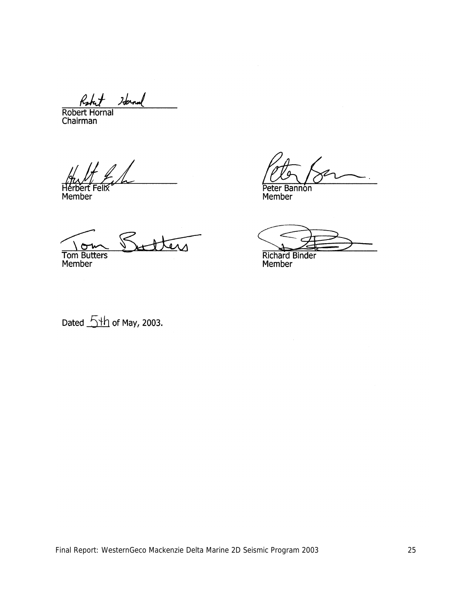Iterna

Robert Hornal<br>Robert Hornal

Hérbert Felix

Member

Peter Bannon

Member

tters Tom Butters

Richard Binder<br>Member

Dated  $\frac{5 \text{th}}{10}$  of May, 2003.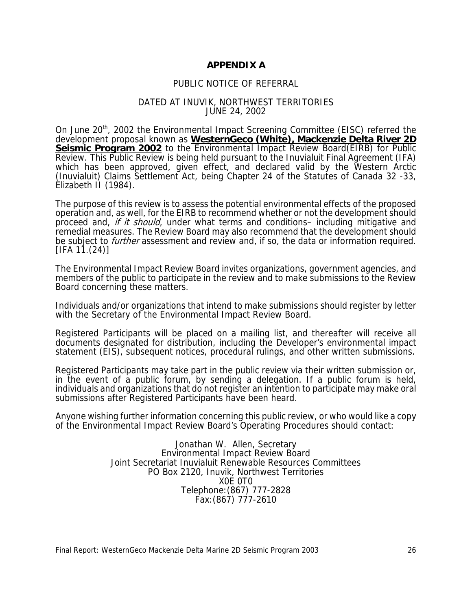#### **APPENDIX A**

#### PUBLIC NOTICE OF REFERRAL

#### DATED AT INUVIK, NORTHWEST TERRITORIES JUNE 24, 2002

On June 20<sup>th</sup>, 2002 the Environmental Impact Screening Committee (EISC) referred the development proposal known as **WesternGeco (White), Mackenzie Delta River 2D Seismic Program 2002** to the Environmental Impact Review Board(EIRB) for Public Review. This Public Review is being held pursuant to the Inuvialuit Final Agreement (IFA) which has been approved, given effect, and declared valid by the Western Arctic (Inuvialuit) Claims Settlement Act, being Chapter 24 of the Statutes of Canada 32 -33, Elizabeth II (1984).

The purpose of this review is to assess the potential environmental effects of the proposed operation and, as well, for the EIRB to recommend whether or not the development should proceed and, if it should, under what terms and conditions– including mitigative and remedial measures. The Review Board may also recommend that the development should be subject to *further* assessment and review and, if so, the data or information required.  $[IFA 11. (24)]$ 

The Environmental Impact Review Board invites organizations, government agencies, and members of the public to participate in the review and to make submissions to the Review Board concerning these matters.

Individuals and/or organizations that intend to make submissions should register by letter with the Secretary of the Environmental Impact Review Board.

Registered Participants will be placed on a mailing list, and thereafter will receive all documents designated for distribution, including the Developer's environmental impact statement (EIS), subsequent notices, procedural rulings, and other written submissions.

Registered Participants may take part in the public review via their written submission or, in the event of a public forum, by sending a delegation. If a public forum is held, individuals and organizations that do not register an intention to participate may make oral submissions after Registered Participants have been heard.

Anyone wishing further information concerning this public review, or who would like a copy of the Environmental Impact Review Board's Operating Procedures should contact:

> Jonathan W. Allen, Secretary Environmental Impact Review Board Joint Secretariat Inuvialuit Renewable Resources Committees PO Box 2120, Inuvik, Northwest Territories X0E 0T0 Telephone:(867) 777-2828 Fax:(867) 777-2610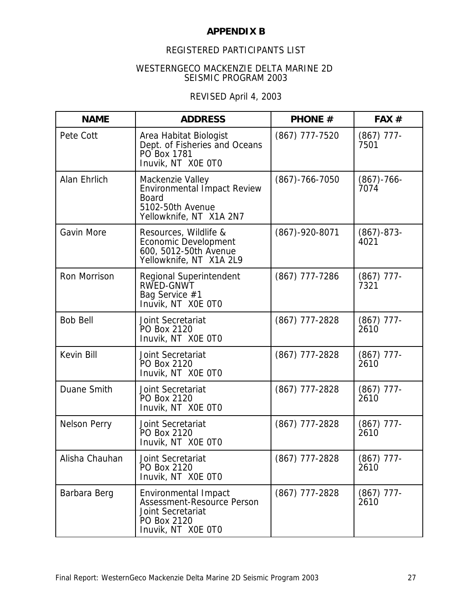#### **APPENDIX B**

## REGISTERED PARTICIPANTS LIST

#### WESTERNGECO MACKENZIE DELTA MARINE 2D SEISMIC PROGRAM 2003

## REVISED April 4, 2003

| <b>NAME</b>         | <b>ADDRESS</b>                                                                                                 | <b>PHONE #</b>       | FAX #                   |
|---------------------|----------------------------------------------------------------------------------------------------------------|----------------------|-------------------------|
| Pete Cott           | Area Habitat Biologist<br>Dept. of Fisheries and Oceans<br>PO Box 1781<br>Inuvik, NT XOE OTO                   | (867) 777-7520       | $(867)$ 777-<br>7501    |
| Alan Ehrlich        | Mackenzie Valley<br>Environmental Impact Review<br><b>Board</b><br>5102-50th Avenue<br>Yellowknife, NT X1A 2N7 | $(867) - 766 - 7050$ | $(867) - 766 -$<br>7074 |
| <b>Gavin More</b>   | Resources, Wildlife &<br>Economic Development<br>600, 5012-50th Avenue<br>Yellowknife, NT X1A 2L9              | $(867) - 920 - 8071$ | $(867) - 873 -$<br>4021 |
| <b>Ron Morrison</b> | Regional Superintendent<br>RWED-GNWT<br>Bag Service #1<br>Inuvik, NT X0E 0T0                                   | (867) 777-7286       | $(867)$ 777-<br>7321    |
| <b>Bob Bell</b>     | Joint Secretariat<br>PO Box 2120<br>Inuvik, NT XOE OTO                                                         | $(867)$ 777-2828     | $(867)$ 777-<br>2610    |
| Kevin Bill          | Joint Secretariat<br>PO Box 2120<br>Inuvik, NT XOE OTO                                                         | $(867)$ 777-2828     | $(867)$ 777-<br>2610    |
| Duane Smith         | Joint Secretariat<br>PO Box 2120<br>Inuvik, NT XOE OTO                                                         | (867) 777-2828       | $(867)$ 777-<br>2610    |
| <b>Nelson Perry</b> | Joint Secretariat<br>PO Box 2120<br>Inuvik, NT XOE OTO                                                         | (867) 777-2828       | $(867)$ 777-<br>2610    |
| Alisha Chauhan      | Joint Secretariat<br>PO Box 2120<br>Inuvik, NT XOE OTO                                                         | $(867)$ 777-2828     | $(867)$ 777-<br>2610    |
| Barbara Berg        | Environmental Impact<br>Assessment-Resource Person<br>Joint Secretariat<br>PO Box 2120<br>Inuvik, NT XOE OTO   | $(867)$ 777-2828     | $(867)$ 777-<br>2610    |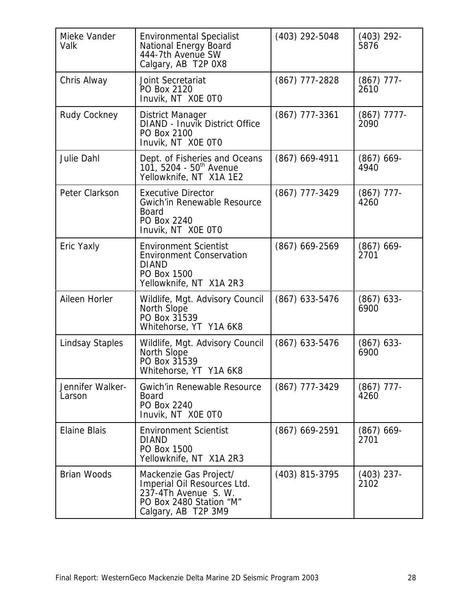| Mieke Vander<br>Valk       | <b>Environmental Specialist</b><br>National Energy Board<br>444-7th Avenue SW<br>Calgary, AB T2P 0X8                            | (403) 292-5048   | $(403)$ 292-<br>5876  |
|----------------------------|---------------------------------------------------------------------------------------------------------------------------------|------------------|-----------------------|
| Chris Alway                | Joint Secretariat<br>PO Box 2120<br>Inuvik, NT XOE OTO                                                                          | (867) 777-2828   | $(867)$ 777-<br>2610  |
| Rudy Cockney               | District Manager<br>DIAND - Inuvik District Office<br>PO Box 2100<br>Inuvik, NT XOE OTO                                         | $(867)$ 777-3361 | $(867)$ 7777-<br>2090 |
| Julie Dahl                 | Dept. of Fisheries and Oceans<br>101, 5204 - 50 <sup>th</sup> Avenue<br>Yellowknife, NT X1A 1E2                                 | $(867)$ 669-4911 | $(867)$ 669-<br>4940  |
| Peter Clarkson             | <b>Executive Director</b><br><b>Gwich'in Renewable Resource</b><br><b>Board</b><br>PO Box 2240<br>Inuvik, NT XOE OTO            | (867) 777-3429   | $(867)$ 777-<br>4260  |
| Eric Yaxly                 | <b>Environment Scientist</b><br><b>Environment Conservation</b><br><b>DIAND</b><br>PO Box 1500<br>Yellowknife, NT X1A 2R3       | $(867)$ 669-2569 | $(867)$ 669-<br>2701  |
| Aileen Horler              | Wildlife, Mgt. Advisory Council<br>North Slope<br>PO Box 31539<br>Whitehorse, YT Y1A 6K8                                        | $(867)$ 633-5476 | $(867)$ 633-<br>6900  |
| <b>Lindsay Staples</b>     | Wildlife, Mgt. Advisory Council<br>North Slope<br>PO Box 31539<br>Whitehorse, YT Y1A 6K8                                        | $(867)$ 633-5476 | $(867)$ 633-<br>6900  |
| Jennifer Walker-<br>Larson | <b>Gwich'in Renewable Resource</b><br><b>Board</b><br>PO Box 2240<br>Inuvik, NT XOE OTO                                         | $(867)$ 777-3429 | $(867)$ 777-<br>4260  |
| <b>Elaine Blais</b>        | <b>Environment Scientist</b><br><b>DIAND</b><br>PO Box 1500<br>Yellowknife, NT X1A 2R3                                          | $(867)$ 669-2591 | $(867)$ 669-<br>2701  |
| <b>Brian Woods</b>         | Mackenzie Gas Project/<br>Imperial Oil Resources Ltd.<br>237-4Th Avenue S. W.<br>PO Box 2480 Station "M"<br>Calgary, AB T2P 3M9 | (403) 815-3795   | $(403)$ 237-<br>2102  |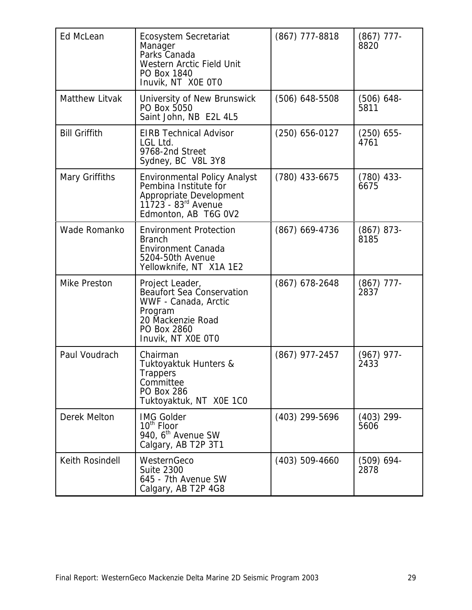| <b>Ed McLean</b>      | <b>Ecosystem Secretariat</b><br>Manager<br>Parks Canada<br>Western Arctic Field Unit<br>PO Box 1840<br>Inuvik, NT XOE OTO                          | $(867)$ 777-8818   | $(867)$ 777-<br>8820 |
|-----------------------|----------------------------------------------------------------------------------------------------------------------------------------------------|--------------------|----------------------|
| <b>Matthew Litvak</b> | University of New Brunswick<br>PO Box 5050<br>Saint John, NB E2L 4L5                                                                               | $(506)$ 648-5508   | (506) 648-<br>5811   |
| <b>Bill Griffith</b>  | <b>EIRB Technical Advisor</b><br>LGL Ltd.<br>9768-2nd Street<br>Sydney, BC V8L 3Y8                                                                 | $(250)$ 656-0127   | $(250)$ 655-<br>4761 |
| Mary Griffiths        | <b>Environmental Policy Analyst</b><br>Pembina Institute for<br>Appropriate Development<br>11723 - 83 <sup>rd</sup> Avenue<br>Edmonton, AB T6G 0V2 | $(780)$ 433-6675   | (780) 433-<br>6675   |
| Wade Romanko          | <b>Environment Protection</b><br><b>Branch</b><br><b>Environment Canada</b><br>5204-50th Avenue<br>Yellowknife, NT X1A 1E2                         | $(867)$ 669-4736   | $(867)$ 873-<br>8185 |
| <b>Mike Preston</b>   | Project Leader,<br><b>Beaufort Sea Conservation</b><br>WWF - Canada, Arctic<br>Program<br>20 Mackenzie Road<br>PO Box 2860<br>Inuvik, NT XOE OTO   | $(867)$ 678-2648   | $(867)$ 777-<br>2837 |
| Paul Voudrach         | Chairman<br>Tuktoyaktuk Hunters &<br>Trappers<br>Committee<br><b>PO Box 286</b><br>Tuktoyaktuk, NT X0E 1C0                                         | $(867)$ 977-2457   | $(967)$ 977-<br>2433 |
| Derek Melton          | <b>IMG Golder</b><br>10 <sup>th</sup> Floor<br>940, 6 <sup>th</sup> Avenue SW<br>Calgary, AB T2P 3T1                                               | (403) 299-5696     | $(403)$ 299-<br>5606 |
| Keith Rosindell       | WesternGeco<br><b>Suite 2300</b><br>645 - 7th Avenue SW<br>Calgary, AB T2P 4G8                                                                     | $(403) 509 - 4660$ | (509) 694-<br>2878   |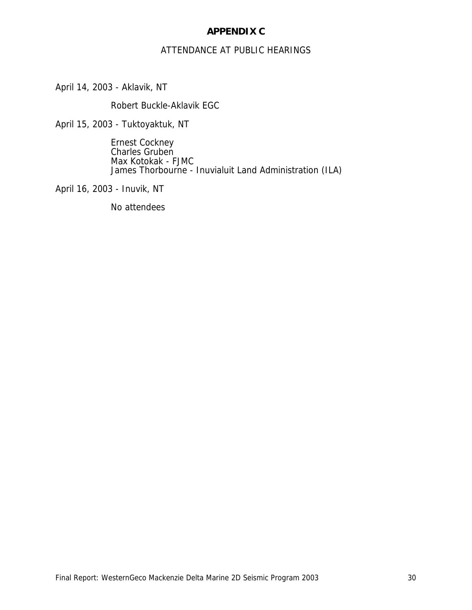#### **APPENDIX C**

#### ATTENDANCE AT PUBLIC HEARINGS

April 14, 2003 - Aklavik, NT

Robert Buckle-Aklavik EGC

April 15, 2003 - Tuktoyaktuk, NT

Ernest Cockney Charles Gruben Max Kotokak - FJMC James Thorbourne - Inuvialuit Land Administration (ILA)

April 16, 2003 - Inuvik, NT

No attendees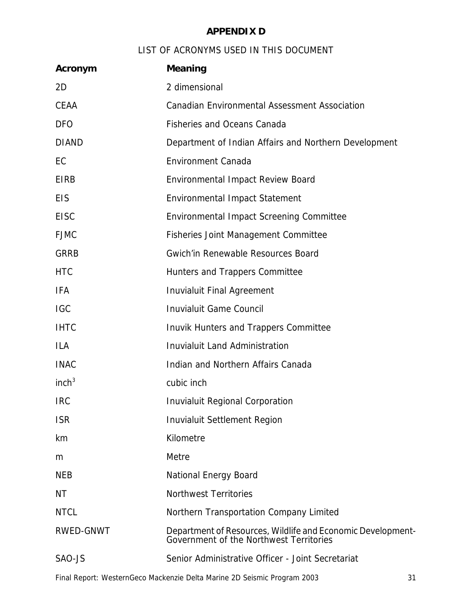# **APPENDIX D**

# LIST OF ACRONYMS USED IN THIS DOCUMENT

| Acronym           | <b>Meaning</b>                                                                                         |
|-------------------|--------------------------------------------------------------------------------------------------------|
| 2D                | 2 dimensional                                                                                          |
| <b>CEAA</b>       | <b>Canadian Environmental Assessment Association</b>                                                   |
| <b>DFO</b>        | <b>Fisheries and Oceans Canada</b>                                                                     |
| <b>DIAND</b>      | Department of Indian Affairs and Northern Development                                                  |
| EC                | <b>Environment Canada</b>                                                                              |
| <b>EIRB</b>       | Environmental Impact Review Board                                                                      |
| <b>EIS</b>        | <b>Environmental Impact Statement</b>                                                                  |
| <b>EISC</b>       | <b>Environmental Impact Screening Committee</b>                                                        |
| <b>FJMC</b>       | <b>Fisheries Joint Management Committee</b>                                                            |
| <b>GRRB</b>       | <b>Gwich'in Renewable Resources Board</b>                                                              |
| <b>HTC</b>        | Hunters and Trappers Committee                                                                         |
| <b>IFA</b>        | <b>Inuvialuit Final Agreement</b>                                                                      |
| <b>IGC</b>        | <b>Inuvialuit Game Council</b>                                                                         |
| <b>IHTC</b>       | Inuvik Hunters and Trappers Committee                                                                  |
| <b>ILA</b>        | <b>Inuvialuit Land Administration</b>                                                                  |
| <b>INAC</b>       | Indian and Northern Affairs Canada                                                                     |
| inch <sup>3</sup> | cubic inch                                                                                             |
| <b>IRC</b>        | Inuvialuit Regional Corporation                                                                        |
| <b>ISR</b>        | Inuvialuit Settlement Region                                                                           |
| km                | Kilometre                                                                                              |
| m                 | Metre                                                                                                  |
| <b>NEB</b>        | National Energy Board                                                                                  |
| <b>NT</b>         | <b>Northwest Territories</b>                                                                           |
| <b>NTCL</b>       | Northern Transportation Company Limited                                                                |
| <b>RWED-GNWT</b>  | Department of Resources, Wildlife and Economic Development-<br>Government of the Northwest Territories |
| SAO-JS            | Senior Administrative Officer - Joint Secretariat                                                      |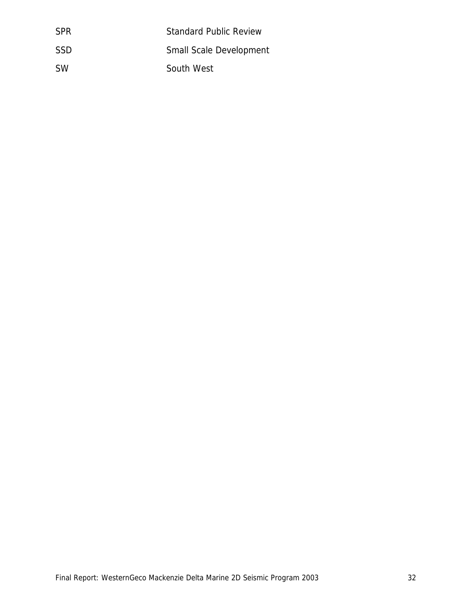| <b>SPR</b> | <b>Standard Public Review</b>  |
|------------|--------------------------------|
| <b>SSD</b> | <b>Small Scale Development</b> |
| <b>SW</b>  | South West                     |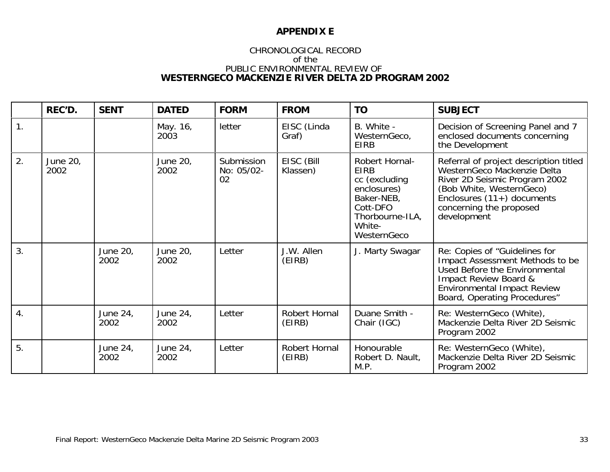## **APPENDIX E**

# CHRONOLOGICAL RECORD of thePUBLIC ENVIRONMENTAL REVIEW OF<br>WESTERNGECO MACKENZIE RIVER DELTA 2D PROGRAM 2002

|                  | REC'D.                  | <b>SENT</b>      | <b>DATED</b>            | <b>FORM</b>                    | <b>FROM</b>             | <b>TO</b>                                                                                                                           | <b>SUBJECT</b>                                                                                                                                                                                               |
|------------------|-------------------------|------------------|-------------------------|--------------------------------|-------------------------|-------------------------------------------------------------------------------------------------------------------------------------|--------------------------------------------------------------------------------------------------------------------------------------------------------------------------------------------------------------|
| 1.               |                         |                  | May. 16,<br><b>2003</b> | letter                         | EISC (Linda<br>Graf)    | B. White -<br>WesternGeco,<br><b>EIRB</b>                                                                                           | Decision of Screening Panel and 7<br>enclosed documents concerning<br>the Development                                                                                                                        |
| 2.               | <b>June 20,</b><br>2002 |                  | June 20,<br>2002        | Submission<br>No: 05/02-<br>02 | EISC (Bill<br>Klassen)  | Robert Hornal-<br><b>EIRB</b><br>cc (excluding<br>enclosures)<br>Baker-NEB,<br>Cott-DFO<br>Thorbourne-ILA,<br>White-<br>WesternGeco | Referral of project description titled<br>WesternGeco Mackenzie Delta<br>River 2D Seismic Program 2002<br>(Bob White, WesternGeco)<br>Enclosures $(11+)$ documents<br>concerning the proposed<br>development |
| 3.               |                         | June 20,<br>2002 | June 20,<br>2002        | Letter                         | J.W. Allen<br>(EIRB)    | J. Marty Swagar                                                                                                                     | Re: Copies of "Guidelines for<br>Impact Assessment Methods to be<br>Used Before the Environmental<br>Impact Review Board &<br><b>Environmental Impact Review</b><br>Board, Operating Procedures"             |
| $\overline{4}$ . |                         | June 24,<br>2002 | June 24,<br>2002        | Letter                         | Robert Hornal<br>(EIRB) | Duane Smith -<br>Chair (IGC)                                                                                                        | Re: WesternGeco (White),<br>Mackenzie Delta River 2D Seismic<br>Program 2002                                                                                                                                 |
| 5.               |                         | June 24,<br>2002 | June 24,<br>2002        | Letter                         | Robert Hornal<br>(EIRB) | Honourable<br>Robert D. Nault,<br>M.P.                                                                                              | Re: WesternGeco (White),<br>Mackenzie Delta River 2D Seismic<br>Program 2002                                                                                                                                 |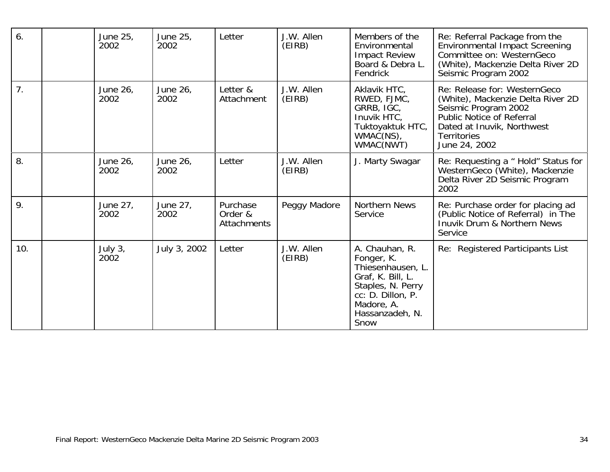| 6.  | June 25,<br>2002            | June 25,<br>2002 | Letter                                    | J.W. Allen<br>(EIRB) | Members of the<br>Environmental<br><b>Impact Review</b><br>Board & Debra L.<br>Fendrick                                                                   | Re: Referral Package from the<br><b>Environmental Impact Screening</b><br>Committee on: WesternGeco<br>(White), Mackenzie Delta River 2D<br>Seismic Program 2002                            |
|-----|-----------------------------|------------------|-------------------------------------------|----------------------|-----------------------------------------------------------------------------------------------------------------------------------------------------------|---------------------------------------------------------------------------------------------------------------------------------------------------------------------------------------------|
| 7.  | June 26,<br>2002            | June 26,<br>2002 | Letter &<br>Attachment                    | J.W. Allen<br>(EIRB) | Aklavik HTC,<br>RWED, FJMC,<br>GRRB, IGC,<br>Inuvik HTC.<br>Tuktoyaktuk HTC,<br>WMAČ(NS),<br>WMAC(NWT)                                                    | Re: Release for: WesternGeco<br>(White), Mackenzie Delta River 2D<br>Seismic Program 2002<br>Public Notice of Referral<br>Dated at Inuvik, Northwest<br><b>Territories</b><br>June 24, 2002 |
| 8.  | June 26,<br>2002            | June 26,<br>2002 | Letter                                    | J.W. Allen<br>(EIRB) | J. Marty Swagar                                                                                                                                           | Re: Requesting a " Hold" Status for<br>WesternGeco (White), Mackenzie<br>Delta River 2D Seismic Program<br>2002                                                                             |
| 9.  | June 27,<br>2002            | June 27,<br>2002 | Purchase<br>Order &<br><b>Attachments</b> | Peggy Madore         | Northern News<br>Service                                                                                                                                  | Re: Purchase order for placing ad<br>(Public Notice of Referral) in The<br>Inuvik Drum & Northern News<br>Service                                                                           |
| 10. | July 3,<br>200 <sup>2</sup> | July 3, 2002     | Letter                                    | J.W. Allen<br>(EIRB) | A. Chauhan, R.<br>Fonger, K.<br>Thiesenhausen, L.<br>Graf, K. Bill, L.<br>Staples, N. Perry<br>cc: D. Dillon, P.<br>Madore, A.<br>Hassanzadeh, N.<br>Snow | Re: Registered Participants List                                                                                                                                                            |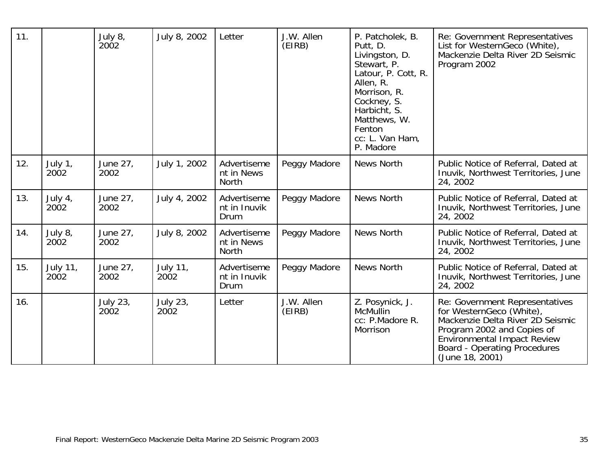| 11. |                                     | July 8,<br>200 <sup>2</sup>    | July 8, 2002                        | Letter                                    | J.W. Allen<br>(EIRB) | P. Patcholek, B.<br>Putt, D.<br>Livingston, D.<br>Stewart, P.<br>Latour, P. Cott, R.<br>Allen, R.<br>Morrison, R.<br>Cockney, S.<br>Harbicht, S.<br>Matthews, W.<br>Fenton<br>cc: L. Van Ham,<br>P. Madore | Re: Government Representatives<br>List for WesternGeco (White),<br>Mackenzie Delta River 2D Seismic<br>Program 2002                                                                                                   |
|-----|-------------------------------------|--------------------------------|-------------------------------------|-------------------------------------------|----------------------|------------------------------------------------------------------------------------------------------------------------------------------------------------------------------------------------------------|-----------------------------------------------------------------------------------------------------------------------------------------------------------------------------------------------------------------------|
| 12. | July 1,<br>200 <sup>2</sup>         | June 27,<br>2002               | July 1, 2002                        | Advertiseme<br>nt in News<br><b>North</b> | Peggy Madore         | News North                                                                                                                                                                                                 | Public Notice of Referral, Dated at<br>Inuvik, Northwest Territories, June<br>24, 2002                                                                                                                                |
| 13. | July 4,<br>200 <sub>2</sub>         | June 27,<br>2002               | July 4, 2002                        | Advertiseme<br>nt in Inuvik<br>Drum       | Peggy Madore         | <b>News North</b>                                                                                                                                                                                          | Public Notice of Referral, Dated at<br>Inuvik, Northwest Territories, June<br>24, 2002                                                                                                                                |
| 14. | July 8,<br>200 <sup>2</sup>         | June 27,<br>2002               | July 8, 2002                        | Advertiseme<br>nt in News<br><b>North</b> | Peggy Madore         | News North                                                                                                                                                                                                 | Public Notice of Referral, Dated at<br>Inuvik, Northwest Territories, June<br>24, 2002                                                                                                                                |
| 15. | <b>July 11,</b><br>200 <sup>2</sup> | June 27,<br>2002               | <b>July 11,</b><br>200 <sup>2</sup> | Advertiseme<br>nt in Inuvik<br>Drum       | Peggy Madore         | <b>News North</b>                                                                                                                                                                                          | Public Notice of Referral, Dated at<br>Inuvik, Northwest Territories, June<br>24, 2002                                                                                                                                |
| 16. |                                     | <b>July 23,</b><br><b>2002</b> | <b>July 23,</b><br><b>2002</b>      | Letter                                    | J.W. Allen<br>(EIRB) | Z. Posynick, J.<br>McMullin<br>cc: P.Madore R.<br>Morrison                                                                                                                                                 | Re: Government Representatives<br>for WesternGeco (White),<br>Mackenzie Delta River 2D Seismic<br>Program 2002 and Copies of<br>Environmental Impact Review<br><b>Board - Operating Procedures</b><br>(June 18, 2001) |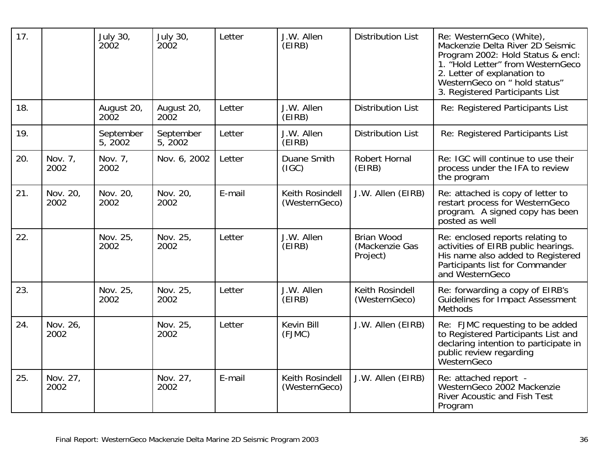| 17. |                  | July 30,<br>200 <sup>2</sup> | July 30,<br>200 <sub>2</sub> | Letter | J.W. Allen<br>(EIRB)             | <b>Distribution List</b>                        | Re: WesternGeco (White),<br>Mackenzie Delta River 2D Seismic<br>Program 2002: Hold Status & encl:<br>1. "Hold Letter" from WesternGeco<br>2. Letter of explanation to<br>WesternGeco on " hold status"<br>3. Registered Participants List |
|-----|------------------|------------------------------|------------------------------|--------|----------------------------------|-------------------------------------------------|-------------------------------------------------------------------------------------------------------------------------------------------------------------------------------------------------------------------------------------------|
| 18. |                  | August 20,<br>2002           | August 20,<br>2002           | Letter | J.W. Allen<br>(EIRB)             | <b>Distribution List</b>                        | Re: Registered Participants List                                                                                                                                                                                                          |
| 19. |                  | September<br>5, 2002         | September<br>5, 2002         | Letter | J.W. Allen<br>(EIRB)             | <b>Distribution List</b>                        | Re: Registered Participants List                                                                                                                                                                                                          |
| 20. | Nov. 7,<br>2002  | Nov. 7,<br>2002              | Nov. 6, 2002                 | Letter | Duane Smith<br>(IGC)             | Robert Hornal<br>(EIRB)                         | Re: IGC will continue to use their<br>process under the IFA to review<br>the program                                                                                                                                                      |
| 21. | Nov. 20,<br>2002 | Nov. 20,<br>2002             | Nov. 20,<br>2002             | E-mail | Keith Rosindell<br>(WesternGeco) | J.W. Allen (EIRB)                               | Re: attached is copy of letter to<br>restart process for WesternGeco<br>program. A signed copy has been<br>posted as well                                                                                                                 |
| 22. |                  | Nov. 25,<br>2002             | Nov. 25,<br>2002             | Letter | J.W. Allen<br>(EIRB)             | <b>Brian Wood</b><br>(Mackenzie Gas<br>Project) | Re: enclosed reports relating to<br>activities of EIRB public hearings.<br>His name also added to Registered<br>Participants list for Commander<br>and WesternGeco                                                                        |
| 23. |                  | Nov. 25,<br>2002             | Nov. 25,<br>2002             | Letter | J.W. Allen<br>(EIRB)             | Keith Rosindell<br>(WesternGeco)                | Re: forwarding a copy of EIRB's<br>Guidelines for Impact Assessment<br><b>Methods</b>                                                                                                                                                     |
| 24. | Nov. 26,<br>2002 |                              | Nov. 25,<br>2002             | Letter | Kevin Bill<br>(FJMC)             | J.W. Allen (EIRB)                               | Re: FJMC requesting to be added<br>to Registered Participants List and<br>declaring intention to participate in<br>public review regarding<br>WesternGeco                                                                                 |
| 25. | Nov. 27,<br>2002 |                              | Nov. 27,<br>2002             | E-mail | Keith Rosindell<br>(WesternGeco) | J.W. Allen (EIRB)                               | Re: attached report -<br>WesternGeco 2002 Mackenzie<br><b>River Acoustic and Fish Test</b><br>Program                                                                                                                                     |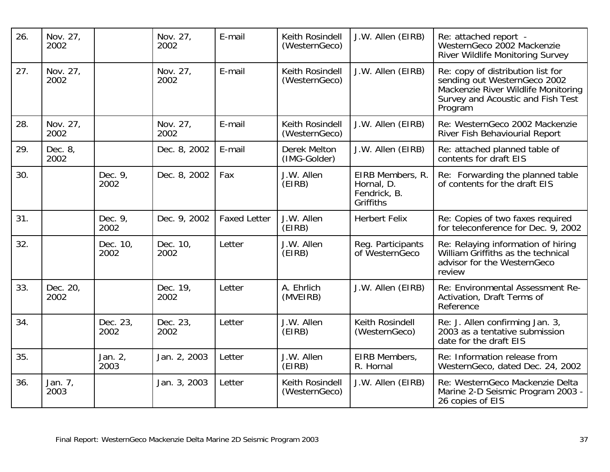| 26. | Nov. 27,<br>2002 |                  | Nov. 27,<br>2002 | E-mail              | Keith Rosindell<br>(WesternGeco) | J.W. Allen (EIRB)                                           | Re: attached report -<br>WesternGeco 2002 Mackenzie<br>River Wildlife Monitoring Survey                                                                  |
|-----|------------------|------------------|------------------|---------------------|----------------------------------|-------------------------------------------------------------|----------------------------------------------------------------------------------------------------------------------------------------------------------|
| 27. | Nov. 27,<br>2002 |                  | Nov. 27,<br>2002 | E-mail              | Keith Rosindell<br>(WesternGeco) | J.W. Allen (EIRB)                                           | Re: copy of distribution list for<br>sending out WesternGeco 2002<br>Mackenzie River Wildlife Monitoring<br>Survey and Acoustic and Fish Test<br>Program |
| 28. | Nov. 27,<br>2002 |                  | Nov. 27,<br>2002 | E-mail              | Keith Rosindell<br>(WesternGeco) | J.W. Allen (EIRB)                                           | Re: WesternGeco 2002 Mackenzie<br>River Fish Behaviourial Report                                                                                         |
| 29. | Dec. 8,<br>2002  |                  | Dec. 8, 2002     | E-mail              | Derek Melton<br>(IMG-Golder)     | J.W. Allen (EIRB)                                           | Re: attached planned table of<br>contents for draft EIS                                                                                                  |
| 30. |                  | Dec. 9,<br>2002  | Dec. 8, 2002     | Fax                 | J.W. Allen<br>(EIRB)             | EIRB Members, R.<br>Hornal, D.<br>Fendrick, B.<br>Griffiths | Re: Forwarding the planned table<br>of contents for the draft EIS                                                                                        |
| 31. |                  | Dec. 9,<br>2002  | Dec. 9, 2002     | <b>Faxed Letter</b> | J.W. Allen<br>(EIRB)             | <b>Herbert Felix</b>                                        | Re: Copies of two faxes required<br>for teleconference for Dec. 9, 2002                                                                                  |
| 32. |                  | Dec. 10,<br>2002 | Dec. 10,<br>2002 | Letter              | J.W. Allen<br>(EIRB)             | Reg. Participants<br>of WesternGeco                         | Re: Relaying information of hiring<br>William Griffiths as the technical<br>advisor for the WesternGeco<br>review                                        |
| 33. | Dec. 20,<br>2002 |                  | Dec. 19,<br>2002 | Letter              | A. Ehrlich<br>(MVEIRB)           | J.W. Allen (EIRB)                                           | Re: Environmental Assessment Re-<br>Activation, Draft Terms of<br>Reference                                                                              |
| 34. |                  | Dec. 23,<br>2002 | Dec. 23,<br>2002 | Letter              | J.W. Allen<br>(EIRB)             | Keith Rosindell<br>(WesternGeco)                            | Re: J. Allen confirming Jan. 3,<br>2003 as a tentative submission<br>date for the draft EIS                                                              |
| 35. |                  | Jan. 2,<br>2003  | Jan. 2, 2003     | Letter              | J.W. Allen<br>(EIRB)             | EIRB Members,<br>R. Hornal                                  | Re: Information release from<br>WesternGeco, dated Dec. 24, 2002                                                                                         |
| 36. | Jan. 7,<br>2003  |                  | Jan. 3, 2003     | Letter              | Keith Rosindell<br>(WesternGeco) | J.W. Allen (EIRB)                                           | Re: WesternGeco Mackenzie Delta<br>Marine 2-D Seismic Program 2003 -<br>26 copies of EIS                                                                 |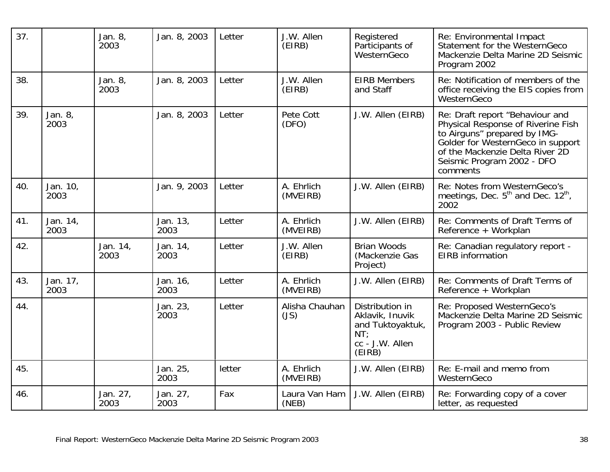| 37. |                  | Jan. 8,<br>2003  | Jan. 8, 2003     | Letter | J.W. Allen<br>(EIRB)   | Registered<br>Participants of<br>WesternGeco                                               | Re: Environmental Impact<br>Statement for the WesternGeco<br>Mackenzie Delta Marine 2D Seismic<br>Program 2002                                                                                                          |
|-----|------------------|------------------|------------------|--------|------------------------|--------------------------------------------------------------------------------------------|-------------------------------------------------------------------------------------------------------------------------------------------------------------------------------------------------------------------------|
| 38. |                  | Jan. 8,<br>2003  | Jan. 8, 2003     | Letter | J.W. Allen<br>(EIRB)   | <b>EIRB Members</b><br>and Staff                                                           | Re: Notification of members of the<br>office receiving the EIS copies from<br>WesternGeco                                                                                                                               |
| 39. | Jan. 8,<br>2003  |                  | Jan. 8, 2003     | Letter | Pete Cott<br>(DFO)     | J.W. Allen (EIRB)                                                                          | Re: Draft report "Behaviour and<br>Physical Response of Riverine Fish<br>to Airguns" prepared by IMG-<br>Golder for WesternGeco in support<br>of the Mackenzie Delta River 2D<br>Seismic Program 2002 - DFO<br>comments |
| 40. | Jan. 10,<br>2003 |                  | Jan. 9, 2003     | Letter | A. Ehrlich<br>(MVEIRB) | J.W. Allen (EIRB)                                                                          | Re: Notes from WesternGeco's<br>meetings, Dec. 5 <sup>th</sup> and Dec. 12 <sup>th</sup> ,<br>2002                                                                                                                      |
| 41. | Jan. 14,<br>2003 |                  | Jan. 13,<br>2003 | Letter | A. Ehrlich<br>(MVEIRB) | J.W. Allen (EIRB)                                                                          | Re: Comments of Draft Terms of<br>Reference + Workplan                                                                                                                                                                  |
| 42. |                  | Jan. 14,<br>2003 | Jan. 14,<br>2003 | Letter | J.W. Allen<br>(EIRB)   | <b>Brian Woods</b><br>(Mackenzie Gas<br>Project)                                           | Re: Canadian regulatory report -<br>EIRB information                                                                                                                                                                    |
| 43. | Jan. 17,<br>2003 |                  | Jan. 16,<br>2003 | Letter | A. Ehrlich<br>(MVEIRB) | J.W. Allen (EIRB)                                                                          | Re: Comments of Draft Terms of<br>Reference + Workplan                                                                                                                                                                  |
| 44. |                  |                  | Jan. 23,<br>2003 | Letter | Alisha Chauhan<br>(JS) | Distribution in<br>Aklavik, Inuvik<br>and Tuktoyaktuk,<br>NT:<br>cc - J.W. Allen<br>(EIRB) | Re: Proposed WesternGeco's<br>Mackenzie Delta Marine 2D Seismic<br>Program 2003 - Public Review                                                                                                                         |
| 45. |                  |                  | Jan. 25,<br>2003 | letter | A. Ehrlich<br>(MVEIRB) | J.W. Allen (EIRB)                                                                          | Re: E-mail and memo from<br>WesternGeco                                                                                                                                                                                 |
| 46. |                  | Jan. 27,<br>2003 | Jan. 27,<br>2003 | Fax    | Laura Van Ham<br>(NEB) | J.W. Allen (EIRB)                                                                          | Re: Forwarding copy of a cover<br>letter, as requested                                                                                                                                                                  |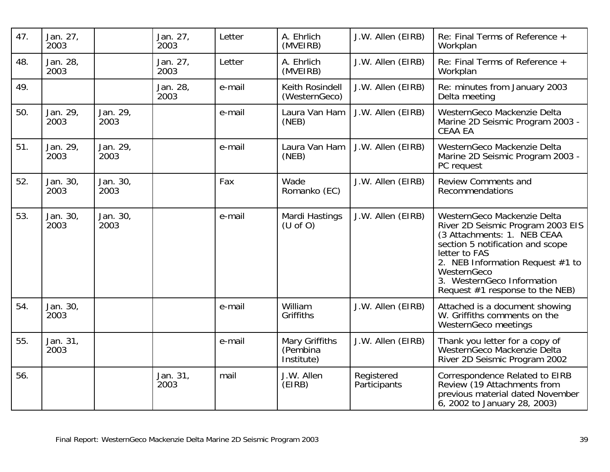| 47. | Jan. 27,<br>2003 |                  | Jan. 27,<br>2003 | Letter | A. Ehrlich<br>(MVEIRB)                   | J.W. Allen (EIRB)          | Re: Final Terms of Reference +<br>Workplan                                                                                                                                                                                                                                 |
|-----|------------------|------------------|------------------|--------|------------------------------------------|----------------------------|----------------------------------------------------------------------------------------------------------------------------------------------------------------------------------------------------------------------------------------------------------------------------|
| 48. | Jan. 28,<br>2003 |                  | Jan. 27,<br>2003 | Letter | A. Ehrlich<br>(MVEIRB)                   | J.W. Allen (EIRB)          | Re: Final Terms of Reference +<br>Workplan                                                                                                                                                                                                                                 |
| 49. |                  |                  | Jan. 28,<br>2003 | e-mail | Keith Rosindell<br>(WesternGeco)         | J.W. Allen (EIRB)          | Re: minutes from January 2003<br>Delta meeting                                                                                                                                                                                                                             |
| 50. | Jan. 29,<br>2003 | Jan. 29,<br>2003 |                  | e-mail | Laura Van Ham<br>(NEB)                   | J.W. Allen (EIRB)          | WesternGeco Mackenzie Delta<br>Marine 2D Seismic Program 2003 -<br><b>CEAA EA</b>                                                                                                                                                                                          |
| 51. | Jan. 29,<br>2003 | Jan. 29,<br>2003 |                  | e-mail | Laura Van Ham<br>(NEB)                   | J.W. Allen (EIRB)          | WesternGeco Mackenzie Delta<br>Marine 2D Seismic Program 2003 -<br>PC request                                                                                                                                                                                              |
| 52. | Jan. 30,<br>2003 | Jan. 30,<br>2003 |                  | Fax    | Wade<br>Romanko (EC)                     | J.W. Allen (EIRB)          | <b>Review Comments and</b><br>Recommendations                                                                                                                                                                                                                              |
| 53. | Jan. 30,<br>2003 | Jan. 30,<br>2003 |                  | e-mail | Mardi Hastings<br>(U of O)               | J.W. Allen (EIRB)          | WesternGeco Mackenzie Delta<br>River 2D Seismic Program 2003 EIS<br>(3 Attachments: 1. NEB CEAA<br>section 5 notification and scope<br>letter to FAS<br>2. NEB Information Request #1 to<br>WesternGeco<br>3. WesternGeco Information<br>Request $#1$ response to the NEB) |
| 54. | Jan. 30,<br>2003 |                  |                  | e-mail | William<br>Griffiths                     | J.W. Allen (EIRB)          | Attached is a document showing<br>W. Griffiths comments on the<br>WesternGeco meetings                                                                                                                                                                                     |
| 55. | Jan. 31,<br>2003 |                  |                  | e-mail | Mary Griffiths<br>(Pembina<br>Institute) | J.W. Allen (EIRB)          | Thank you letter for a copy of<br>WesternGeco Mackenzie Delta<br>River 2D Seismic Program 2002                                                                                                                                                                             |
| 56. |                  |                  | Jan. 31,<br>2003 | mail   | J.W. Allen<br>(EIRB)                     | Registered<br>Participants | Correspondence Related to EIRB<br>Review (19 Attachments from<br>previous material dated November<br>6, 2002 to January 28, 2003)                                                                                                                                          |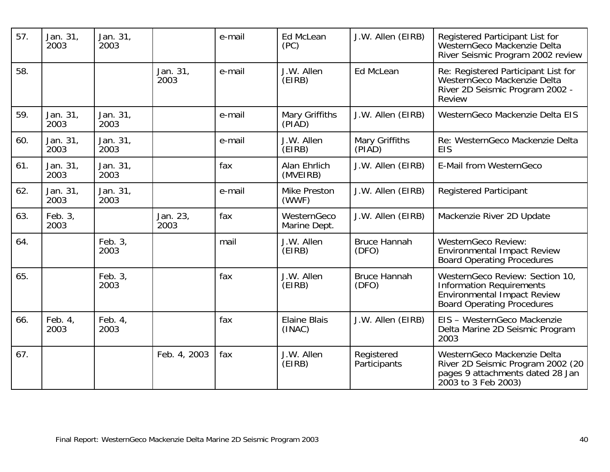| 57. | Jan. 31,<br>2003 | Jan. 31,<br>2003 |                  | e-mail | Ed McLean<br>(PC)             | J.W. Allen (EIRB)            | Registered Participant List for<br>WesternGeco Mackenzie Delta<br>River Seismic Program 2002 review                                           |
|-----|------------------|------------------|------------------|--------|-------------------------------|------------------------------|-----------------------------------------------------------------------------------------------------------------------------------------------|
| 58. |                  |                  | Jan. 31,<br>2003 | e-mail | J.W. Allen<br>(EIRB)          | <b>Ed McLean</b>             | Re: Registered Participant List for<br>WesternGeco Mackenzie Delta<br>River 2D Seismic Program 2002 -<br><b>Review</b>                        |
| 59. | Jan. 31,<br>2003 | Jan. 31,<br>2003 |                  | e-mail | Mary Griffiths<br>(PIAD)      | J.W. Allen (EIRB)            | WesternGeco Mackenzie Delta EIS                                                                                                               |
| 60. | Jan. 31,<br>2003 | Jan. 31,<br>2003 |                  | e-mail | J.W. Allen<br>(EIRB)          | Mary Griffiths<br>(PIAD)     | Re: WesternGeco Mackenzie Delta<br><b>EIS</b>                                                                                                 |
| 61. | Jan. 31,<br>2003 | Jan. 31,<br>2003 |                  | fax    | Alan Ehrlich<br>(MVEIRB)      | J.W. Allen (EIRB)            | E-Mail from WesternGeco                                                                                                                       |
| 62. | Jan. 31,<br>2003 | Jan. 31,<br>2003 |                  | e-mail | <b>Mike Preston</b><br>(WWF)  | J.W. Allen (EIRB)            | <b>Registered Participant</b>                                                                                                                 |
| 63. | Feb. 3,<br>2003  |                  | Jan. 23,<br>2003 | fax    | WesternGeco<br>Marine Dept.   | J.W. Allen (EIRB)            | Mackenzie River 2D Update                                                                                                                     |
| 64. |                  | Feb. 3,<br>2003  |                  | mail   | J.W. Allen<br>(EIRB)          | <b>Bruce Hannah</b><br>(DFO) | <b>WesternGeco Review:</b><br><b>Environmental Impact Review</b><br><b>Board Operating Procedures</b>                                         |
| 65. |                  | Feb. 3,<br>2003  |                  | fax    | J.W. Allen<br>(EIRB)          | <b>Bruce Hannah</b><br>(DFO) | WesternGeco Review: Section 10,<br><b>Information Requirements</b><br><b>Environmental Impact Review</b><br><b>Board Operating Procedures</b> |
| 66. | Feb. 4,<br>2003  | Feb. 4,<br>2003  |                  | fax    | <b>Elaine Blais</b><br>(INAC) | J.W. Allen (EIRB)            | EIS - WesternGeco Mackenzie<br>Delta Marine 2D Seismic Program<br>2003                                                                        |
| 67. |                  |                  | Feb. 4, 2003     | fax    | J.W. Allen<br>(EIRB)          | Registered<br>Participants   | WesternGeco Mackenzie Delta<br>River 2D Seismic Program 2002 (20<br>pages 9 attachments dated 28 Jan<br>2003 to 3 Feb 2003)                   |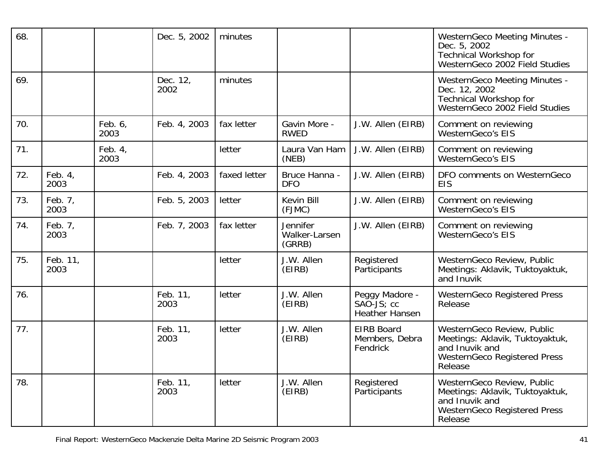| 68. |                  |                 | Dec. 5, 2002     | minutes      |                                     |                                                                     | <b>WesternGeco Meeting Minutes -</b><br>Dec. 5, 2002<br><b>Technical Workshop for</b><br>WesternGeco 2002 Field Studies           |
|-----|------------------|-----------------|------------------|--------------|-------------------------------------|---------------------------------------------------------------------|-----------------------------------------------------------------------------------------------------------------------------------|
| 69. |                  |                 | Dec. 12,<br>2002 | minutes      |                                     |                                                                     | <b>WesternGeco Meeting Minutes -</b><br>Dec. 12, 2002<br><b>Technical Workshop for</b><br>WesternGeco 2002 Field Studies          |
| 70. |                  | Feb. 6,<br>2003 | Feb. 4, 2003     | fax letter   | Gavin More -<br><b>RWED</b>         | J.W. Allen (EIRB)                                                   | Comment on reviewing<br><b>WesternGeco's EIS</b>                                                                                  |
| 71. |                  | Feb. 4,<br>2003 |                  | letter       | Laura Van Ham<br>(NEB)              | J.W. Allen (EIRB)                                                   | Comment on reviewing<br><b>WesternGeco's EIS</b>                                                                                  |
| 72. | Feb. 4,<br>2003  |                 | Feb. 4, 2003     | faxed letter | Bruce Hanna -<br><b>DFO</b>         | J.W. Allen (EIRB)                                                   | DFO comments on WesternGeco<br><b>EIS</b>                                                                                         |
| 73. | Feb. 7,<br>2003  |                 | Feb. 5, 2003     | letter       | Kevin Bill<br>(FJMC)                | J.W. Allen (EIRB)                                                   | Comment on reviewing<br><b>WesternGeco's EIS</b>                                                                                  |
| 74. | Feb. 7,<br>2003  |                 | Feb. 7, 2003     | fax letter   | Jennifer<br>Walker-Larsen<br>(GRRB) | J.W. Allen (EIRB)                                                   | Comment on reviewing<br><b>WesternGeco's EIS</b>                                                                                  |
| 75. | Feb. 11,<br>2003 |                 |                  | letter       | J.W. Allen<br>(EIRB)                | Registered<br>Participants                                          | WesternGeco Review, Public<br>Meetings: Aklavik, Tuktoyaktuk,<br>and Inuvik                                                       |
| 76. |                  |                 | Feb. 11,<br>2003 | letter       | J.W. Allen<br>(EIRB)                | Peggy Madore -<br>$SA\overline{O}$ -JS; cc<br><b>Heather Hansen</b> | <b>WesternGeco Registered Press</b><br>Release                                                                                    |
| 77. |                  |                 | Feb. 11,<br>2003 | letter       | J.W. Allen<br>(EIRB)                | <b>EIRB Board</b><br>Members, Debra<br>Fendrick                     | WesternGeco Review, Public<br>Meetings: Aklavik, Tuktoyaktuk,<br>and Inuvik and<br><b>WesternGeco Registered Press</b><br>Release |
| 78. |                  |                 | Feb. 11,<br>2003 | letter       | J.W. Allen<br>(EIRB)                | Registered<br>Participants                                          | WesternGeco Review, Public<br>Meetings: Aklavik, Tuktoyaktuk,<br>and Inuvik and<br><b>WesternGeco Registered Press</b><br>Release |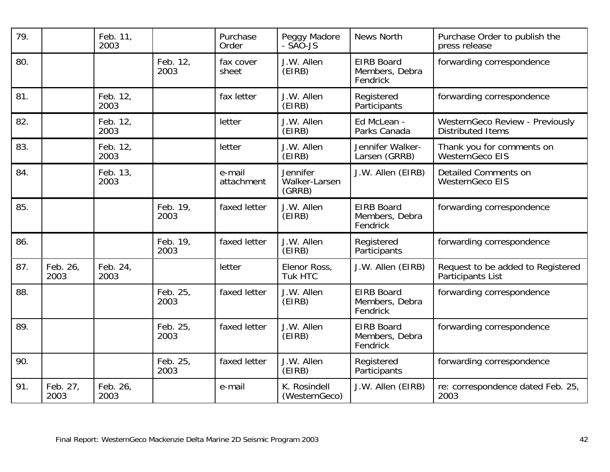| 79. |                  | Feb. 11,<br>2003 |                  | Purchase<br>Order    | Peggy Madore<br>- SAO-JS            | <b>News North</b>                               | Purchase Order to publish the<br>press release              |
|-----|------------------|------------------|------------------|----------------------|-------------------------------------|-------------------------------------------------|-------------------------------------------------------------|
| 80. |                  |                  | Feb. 12,<br>2003 | fax cover<br>sheet   | J.W. Allen<br>(EIRB)                | <b>EIRB Board</b><br>Members, Debra<br>Fendrick | forwarding correspondence                                   |
| 81. |                  | Feb. 12,<br>2003 |                  | fax letter           | J.W. Allen<br>(EIRB)                | Registered<br>Participants                      | forwarding correspondence                                   |
| 82. |                  | Feb. 12,<br>2003 |                  | letter               | J.W. Allen<br>(EIRB)                | Ed McLean -<br>Parks Canada                     | WesternGeco Review - Previously<br><b>Distributed Items</b> |
| 83. |                  | Feb. 12,<br>2003 |                  | letter               | J.W. Allen<br>(EIRB)                | Jennifer Walker-<br>Larsen (GRRB)               | Thank you for comments on<br>WesternGeco EIS                |
| 84. |                  | Feb. 13,<br>2003 |                  | e-mail<br>attachment | Jennifer<br>Walker-Larsen<br>(GRRB) | J.W. Allen (EIRB)                               | <b>Detailed Comments on</b><br><b>WesternGeco EIS</b>       |
| 85. |                  |                  | Feb. 19,<br>2003 | faxed letter         | J.W. Allen<br>(EIRB)                | <b>EIRB Board</b><br>Members, Debra<br>Fendrick | forwarding correspondence                                   |
| 86. |                  |                  | Feb. 19,<br>2003 | faxed letter         | J.W. Allen<br>(EIRB)                | Registered<br>Participants                      | forwarding correspondence                                   |
| 87. | Feb. 26,<br>2003 | Feb. 24,<br>2003 |                  | letter               | Elenor Ross,<br><b>Tuk HTC</b>      | J.W. Allen (EIRB)                               | Request to be added to Registered<br>Participants List      |
| 88. |                  |                  | Feb. 25,<br>2003 | faxed letter         | J.W. Allen<br>(EIRB)                | <b>EIRB Board</b><br>Members, Debra<br>Fendrick | forwarding correspondence                                   |
| 89. |                  |                  | Feb. 25,<br>2003 | faxed letter         | J.W. Allen<br>(EIRB)                | <b>EIRB Board</b><br>Members, Debra<br>Fendrick | forwarding correspondence                                   |
| 90. |                  |                  | Feb. 25,<br>2003 | faxed letter         | J.W. Allen<br>(EIRB)                | Registered<br>Participants                      | forwarding correspondence                                   |
| 91. | Feb. 27,<br>2003 | Feb. 26,<br>2003 |                  | e-mail               | K. Rosindell<br>(WesternGeco)       | J.W. Allen (EIRB)                               | re: correspondence dated Feb. 25,<br>2003                   |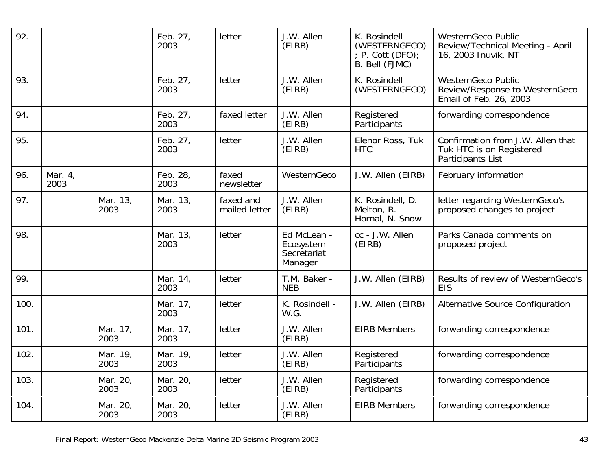| 92.  |                 |                  | Feb. 27,<br>2003 | letter                     | J.W. Allen<br>(EIRB)                               | K. Rosindell<br>(WESTERNGECO)<br>$P.$ Cott (DFO);<br>B. Bell (FJMC) | <b>WesternGeco Public</b><br>Review/Technical Meeting - April<br>16, 2003 Inuvik, NT  |
|------|-----------------|------------------|------------------|----------------------------|----------------------------------------------------|---------------------------------------------------------------------|---------------------------------------------------------------------------------------|
| 93.  |                 |                  | Feb. 27,<br>2003 | letter                     | J.W. Allen<br>(EIRB)                               | K. Rosindell<br>(WESTERNGECO)                                       | <b>WesternGeco Public</b><br>Review/Response to WesternGeco<br>Email of Feb. 26, 2003 |
| 94.  |                 |                  | Feb. 27,<br>2003 | faxed letter               | J.W. Allen<br>(EIRB)                               | Registered<br>Participants                                          | forwarding correspondence                                                             |
| 95.  |                 |                  | Feb. 27,<br>2003 | letter                     | J.W. Allen<br>(EIRB)                               | Elenor Ross, Tuk<br><b>HTC</b>                                      | Confirmation from J.W. Allen that<br>Tuk HTC is on Registered<br>Participants List    |
| 96.  | Mar. 4,<br>2003 |                  | Feb. 28,<br>2003 | faxed<br>newsletter        | WesternGeco                                        | J.W. Allen (EIRB)                                                   | February information                                                                  |
| 97.  |                 | Mar. 13,<br>2003 | Mar. 13,<br>2003 | faxed and<br>mailed letter | J.W. Allen<br>(EIRB)                               | K. Rosindell, D.<br>Melton, R.<br>Hornal, N. Snow                   | letter regarding WesternGeco's<br>proposed changes to project                         |
| 98.  |                 |                  | Mar. 13,<br>2003 | letter                     | Ed McLean -<br>Ecosystem<br>Secretariat<br>Manager | cc - J.W. Allen<br>(EIRB)                                           | Parks Canada comments on<br>proposed project                                          |
| 99.  |                 |                  | Mar. 14,<br>2003 | letter                     | T.M. Baker -<br><b>NEB</b>                         | J.W. Allen (EIRB)                                                   | Results of review of WesternGeco's<br><b>EIS</b>                                      |
| 100. |                 |                  | Mar. 17,<br>2003 | letter                     | K. Rosindell -<br>W.G.                             | J.W. Allen (EIRB)                                                   | Alternative Source Configuration                                                      |
| 101. |                 | Mar. 17,<br>2003 | Mar. 17,<br>2003 | letter                     | J.W. Allen<br>(EIRB)                               | <b>EIRB Members</b>                                                 | forwarding correspondence                                                             |
| 102. |                 | Mar. 19,<br>2003 | Mar. 19,<br>2003 | letter                     | J.W. Allen<br>(EIRB)                               | Registered<br>Participants                                          | forwarding correspondence                                                             |
| 103. |                 | Mar. 20,<br>2003 | Mar. 20,<br>2003 | letter                     | J.W. Allen<br>(EIRB)                               | Registered<br>Participants                                          | forwarding correspondence                                                             |
| 104. |                 | Mar. 20,<br>2003 | Mar. 20,<br>2003 | letter                     | J.W. Allen<br>(EIRB)                               | <b>EIRB Members</b>                                                 | forwarding correspondence                                                             |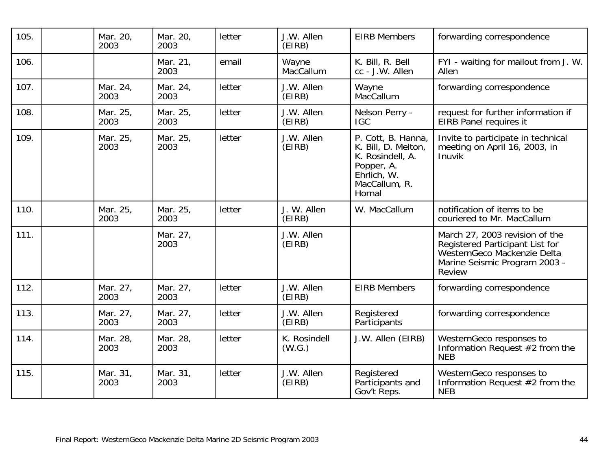| 105. | Mar. 20,<br>2003 | Mar. 20,<br>2003 | letter | J.W. Allen<br>(EIRB)   | <b>EIRB Members</b>                                                                                                   | forwarding correspondence                                                                                                                   |
|------|------------------|------------------|--------|------------------------|-----------------------------------------------------------------------------------------------------------------------|---------------------------------------------------------------------------------------------------------------------------------------------|
| 106. |                  | Mar. 21,<br>2003 | email  | Wayne<br>MacCallum     | K. Bill, R. Bell<br>cc - J.W. Allen                                                                                   | FYI - waiting for mailout from J. W.<br>Allen                                                                                               |
| 107. | Mar. 24,<br>2003 | Mar. 24,<br>2003 | letter | J.W. Allen<br>(EIRB)   | Wayne<br>MacCallum                                                                                                    | forwarding correspondence                                                                                                                   |
| 108. | Mar. 25,<br>2003 | Mar. 25,<br>2003 | letter | J.W. Allen<br>(EIRB)   | Nelson Perry -<br><b>IGC</b>                                                                                          | request for further information if<br>EIRB Panel requires it                                                                                |
| 109. | Mar. 25,<br>2003 | Mar. 25,<br>2003 | letter | J.W. Allen<br>(EIRB)   | P. Cott, B. Hanna,<br>K. Bill, D. Melton,<br>K. Rosindell, A.<br>Popper, A.<br>Ehrlich, W.<br>MacCallum, R.<br>Hornal | Invite to participate in technical<br>meeting on April 16, 2003, in<br>Inuvik                                                               |
| 110. | Mar. 25,<br>2003 | Mar. 25,<br>2003 | letter | J. W. Allen<br>(EIRB)  | W. MacCallum                                                                                                          | notification of items to be<br>couriered to Mr. MacCallum                                                                                   |
| 111. |                  | Mar. 27,<br>2003 |        | J.W. Allen<br>(EIRB)   |                                                                                                                       | March 27, 2003 revision of the<br>Registered Participant List for<br>WesternGeco Mackenzie Delta<br>Marine Seismic Program 2003 -<br>Review |
| 112. | Mar. 27,<br>2003 | Mar. 27,<br>2003 | letter | J.W. Allen<br>(EIRB)   | <b>EIRB Members</b>                                                                                                   | forwarding correspondence                                                                                                                   |
| 113. | Mar. 27,<br>2003 | Mar. 27,<br>2003 | letter | J.W. Allen<br>(EIRB)   | Registered<br><b>Participants</b>                                                                                     | forwarding correspondence                                                                                                                   |
| 114. | Mar. 28,<br>2003 | Mar. 28,<br>2003 | letter | K. Rosindell<br>(W.G.) | J.W. Allen (EIRB)                                                                                                     | WesternGeco responses to<br>Information Request #2 from the<br><b>NEB</b>                                                                   |
| 115. | Mar. 31,<br>2003 | Mar. 31,<br>2003 | letter | J.W. Allen<br>(EIRB)   | Registered<br>Participants and<br>Gov't Reps.                                                                         | WesternGeco responses to<br>Information Request #2 from the<br><b>NEB</b>                                                                   |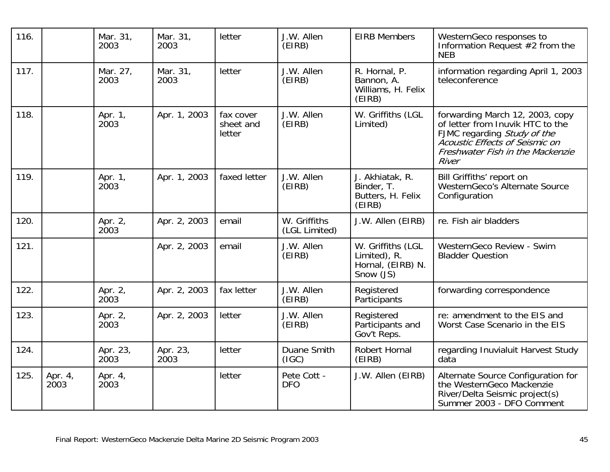| 116. |                 | Mar. 31,<br>2003 | Mar. 31,<br>2003 | letter                           | J.W. Allen<br>(EIRB)          | <b>EIRB Members</b>                                                 | WesternGeco responses to<br>Information Request $#2$ from the<br><b>NEB</b>                                                                                                       |
|------|-----------------|------------------|------------------|----------------------------------|-------------------------------|---------------------------------------------------------------------|-----------------------------------------------------------------------------------------------------------------------------------------------------------------------------------|
| 117. |                 | Mar. 27,<br>2003 | Mar. 31,<br>2003 | letter                           | J.W. Allen<br>(EIRB)          | R. Hornal, P.<br>Bannon, A.<br>Williams, H. Felix<br>(EIRB)         | information regarding April 1, 2003<br>teleconference                                                                                                                             |
| 118. |                 | Apr. 1,<br>2003  | Apr. 1, 2003     | fax cover<br>sheet and<br>letter | J.W. Allen<br>(EIRB)          | W. Griffiths (LGL<br>Limited)                                       | forwarding March 12, 2003, copy<br>of letter from Inuvik HTC to the<br>FJMC regarding Study of the<br>Acoustic Effects of Seismic on<br>Freshwater Fish in the Mackenzie<br>River |
| 119. |                 | Apr. 1,<br>2003  | Apr. 1, 2003     | faxed letter                     | J.W. Allen<br>(EIRB)          | J. Akhiatak, R.<br>Binder, T.<br>Butters, H. Felix<br>(EIRB)        | Bill Griffiths' report on<br>WesternGeco's Alternate Source<br>Configuration                                                                                                      |
| 120. |                 | Apr. 2,<br>2003  | Apr. 2, 2003     | email                            | W. Griffiths<br>(LGL Limited) | J.W. Allen (EIRB)                                                   | re. Fish air bladders                                                                                                                                                             |
| 121. |                 |                  | Apr. 2, 2003     | email                            | J.W. Allen<br>(EIRB)          | W. Griffiths (LGL<br>Limited), R.<br>Hornal, (EIRB) N.<br>Snow (JS) | WesternGeco Review - Swim<br><b>Bladder Question</b>                                                                                                                              |
| 122. |                 | Apr. 2,<br>2003  | Apr. 2, 2003     | fax letter                       | J.W. Allen<br>(EIRB)          | Registered<br>Participants                                          | forwarding correspondence                                                                                                                                                         |
| 123. |                 | Apr. 2,<br>2003  | Apr. 2, 2003     | letter                           | J.W. Allen<br>(EIRB)          | Registered<br>Participants and<br>Gov't Reps.                       | re: amendment to the EIS and<br>Worst Case Scenario in the EIS                                                                                                                    |
| 124. |                 | Apr. 23,<br>2003 | Apr. 23,<br>2003 | letter                           | Duane Smith<br>(IGC)          | Robert Hornal<br>(EIRB)                                             | regarding Inuvialuit Harvest Study<br>data                                                                                                                                        |
| 125. | Apr. 4,<br>2003 | Apr. 4,<br>2003  |                  | letter                           | Pete Cott -<br><b>DFO</b>     | J.W. Allen (EIRB)                                                   | Alternate Source Configuration for<br>the WesternGeco Mackenzie<br>River/Delta Seismic project(s)<br>Summer 2003 - DFO Comment                                                    |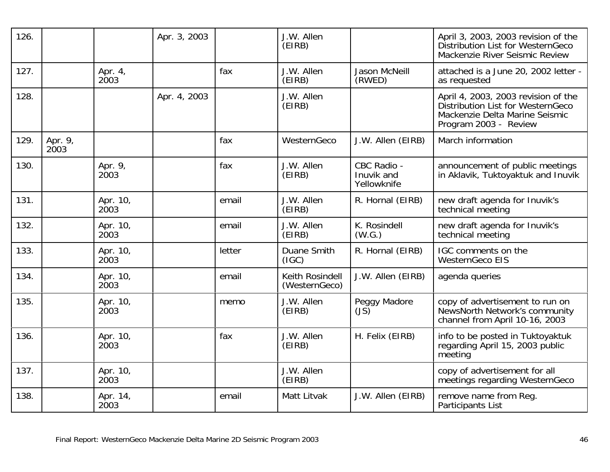| 126. |                 |                  | Apr. 3, 2003 |        | J.W. Allen<br>(EIRB)             |                                          | April 3, 2003, 2003 revision of the<br>Distribution List for WesternGeco<br>Mackenzie River Seismic Review                          |
|------|-----------------|------------------|--------------|--------|----------------------------------|------------------------------------------|-------------------------------------------------------------------------------------------------------------------------------------|
| 127. |                 | Apr. 4,<br>2003  |              | fax    | J.W. Allen<br>(EIRB)             | <b>Jason McNeill</b><br>(RWED)           | attached is a June 20, 2002 letter -<br>as requested                                                                                |
| 128. |                 |                  | Apr. 4, 2003 |        | J.W. Allen<br>(EIRB)             |                                          | April 4, 2003, 2003 revision of the<br>Distribution List for WesternGeco<br>Mackenzie Delta Marine Seismic<br>Program 2003 - Review |
| 129. | Apr. 9,<br>2003 |                  |              | fax    | WesternGeco                      | J.W. Allen (EIRB)                        | March information                                                                                                                   |
| 130. |                 | Apr. 9,<br>2003  |              | fax    | J.W. Allen<br>(EIRB)             | CBC Radio -<br>Inuvik and<br>Yellowknife | announcement of public meetings<br>in Aklavik, Tuktoyaktuk and Inuvik                                                               |
| 131. |                 | Apr. 10,<br>2003 |              | email  | J.W. Allen<br>(EIRB)             | R. Hornal (EIRB)                         | new draft agenda for Inuvik's<br>technical meeting                                                                                  |
| 132. |                 | Apr. 10,<br>2003 |              | email  | J.W. Allen<br>(EIRB)             | K. Rosindell<br>(W.G.)                   | new draft agenda for Inuvik's<br>technical meeting                                                                                  |
| 133. |                 | Apr. 10,<br>2003 |              | letter | Duane Smith<br>(IGC)             | R. Hornal (EIRB)                         | IGC comments on the<br><b>WesternGeco EIS</b>                                                                                       |
| 134. |                 | Apr. 10,<br>2003 |              | email  | Keith Rosindell<br>(WesternGeco) | J.W. Allen (EIRB)                        | agenda queries                                                                                                                      |
| 135. |                 | Apr. 10,<br>2003 |              | memo   | J.W. Allen<br>(EIRB)             | Peggy Madore<br>(JS)                     | copy of advertisement to run on<br>NewsNorth Network's community<br>channel from April 10-16, 2003                                  |
| 136. |                 | Apr. 10,<br>2003 |              | fax    | J.W. Allen<br>(EIRB)             | H. Felix (EIRB)                          | info to be posted in Tuktoyaktuk<br>regarding April 15, 2003 public<br>meeting                                                      |
| 137. |                 | Apr. 10,<br>2003 |              |        | J.W. Allen<br>(EIRB)             |                                          | copy of advertisement for all<br>meetings regarding WesternGeco                                                                     |
| 138. |                 | Apr. 14,<br>2003 |              | email  | Matt Litvak                      | J.W. Allen (EIRB)                        | remove name from Reg.<br>Participants List                                                                                          |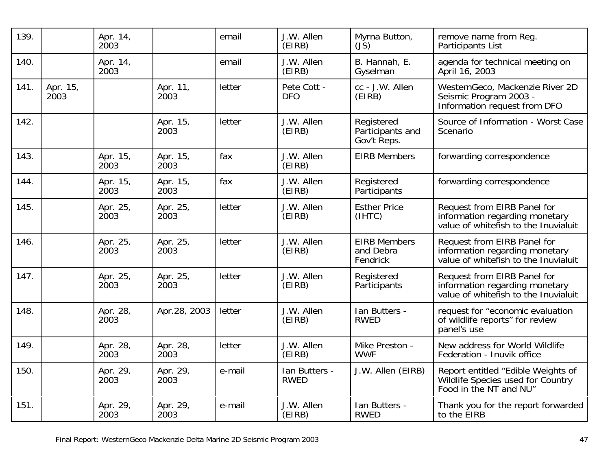| 139. |                  | Apr. 14,<br>2003 |                  | email  | J.W. Allen<br>(EIRB)         | Myrna Button,<br>$(J\bar{S})$                 | remove name from Req.<br>Participants List                                                             |
|------|------------------|------------------|------------------|--------|------------------------------|-----------------------------------------------|--------------------------------------------------------------------------------------------------------|
| 140. |                  | Apr. 14,<br>2003 |                  | email  | J.W. Allen<br>(EIRB)         | B. Hannah, E.<br>Gyselman                     | agenda for technical meeting on<br>April 16, 2003                                                      |
| 141. | Apr. 15,<br>2003 |                  | Apr. 11,<br>2003 | letter | Pete Cott -<br><b>DFO</b>    | cc - J.W. Allen<br>(EIRB)                     | WesternGeco, Mackenzie River 2D<br>Seismic Program 2003 -<br>Information request from DFO              |
| 142. |                  |                  | Apr. 15,<br>2003 | letter | J.W. Allen<br>(EIRB)         | Registered<br>Participants and<br>Gov't Reps. | Source of Information - Worst Case<br>Scenario                                                         |
| 143. |                  | Apr. 15,<br>2003 | Apr. 15,<br>2003 | fax    | J.W. Allen<br>(EIRB)         | <b>EIRB Members</b>                           | forwarding correspondence                                                                              |
| 144. |                  | Apr. 15,<br>2003 | Apr. 15,<br>2003 | fax    | J.W. Allen<br>(EIRB)         | Registered<br>Participants                    | forwarding correspondence                                                                              |
| 145. |                  | Apr. 25,<br>2003 | Apr. 25,<br>2003 | letter | J.W. Allen<br>(EIRB)         | <b>Esther Price</b><br>(IHTC)                 | Request from EIRB Panel for<br>information regarding monetary<br>value of white fish to the Inuvialuit |
| 146. |                  | Apr. 25,<br>2003 | Apr. 25,<br>2003 | letter | J.W. Allen<br>(EIRB)         | <b>EIRB Members</b><br>and Debra<br>Fendrick  | Request from EIRB Panel for<br>information regarding monetary<br>value of whitefish to the Inuvialuit  |
| 147. |                  | Apr. 25,<br>2003 | Apr. 25,<br>2003 | letter | J.W. Allen<br>(EIRB)         | Registered<br>Participants                    | Request from EIRB Panel for<br>information regarding monetary<br>value of whitefish to the Inuvialuit  |
| 148. |                  | Apr. 28,<br>2003 | Apr.28, 2003     | letter | J.W. Allen<br>(EIRB)         | Ian Butters -<br><b>RWED</b>                  | request for "economic evaluation<br>of wildlife reports" for review<br>panel's use                     |
| 149. |                  | Apr. 28,<br>2003 | Apr. 28,<br>2003 | letter | J.W. Allen<br>(EIRB)         | Mike Preston -<br><b>WWF</b>                  | New address for World Wildlife<br>Federation - Inuvik office                                           |
| 150. |                  | Apr. 29,<br>2003 | Apr. 29,<br>2003 | e-mail | Ian Butters -<br><b>RWED</b> | J.W. Allen (EIRB)                             | Report entitled "Edible Weights of<br>Wildlife Species used for Country<br>Food in the NT and NU"      |
| 151. |                  | Apr. 29,<br>2003 | Apr. 29,<br>2003 | e-mail | J.W. Allen<br>(EIRB)         | Ian Butters -<br><b>RWED</b>                  | Thank you for the report forwarded<br>to the EIRB                                                      |